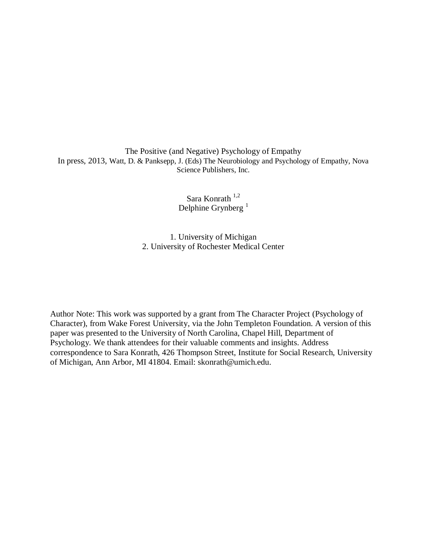The Positive (and Negative) Psychology of Empathy In press, 2013, Watt, D. & Panksepp, J. (Eds) The Neurobiology and Psychology of Empathy, Nova Science Publishers, Inc.

> Sara Konrath  $1,2$ Delphine Grynberg $<sup>1</sup>$ </sup>

1. University of Michigan 2. University of Rochester Medical Center

Author Note: This work was supported by a grant from The Character Project (Psychology of Character), from Wake Forest University, via the John Templeton Foundation. A version of this paper was presented to the University of North Carolina, Chapel Hill, Department of Psychology. We thank attendees for their valuable comments and insights. Address correspondence to Sara Konrath, 426 Thompson Street, Institute for Social Research, University of Michigan, Ann Arbor, MI 41804. Email: skonrath@umich.edu.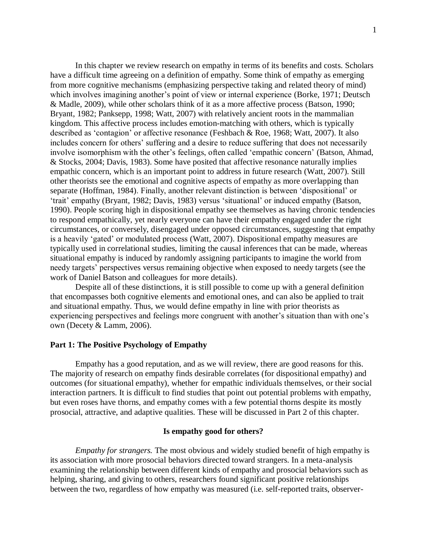In this chapter we review research on empathy in terms of its benefits and costs. Scholars have a difficult time agreeing on a definition of empathy. Some think of empathy as emerging from more cognitive mechanisms (emphasizing perspective taking and related theory of mind) which involves imagining another's point of view or internal experience [\(Borke, 1971;](#page-29-0) [Deutsch](#page-32-0)  [& Madle, 2009\)](#page-32-0), while other scholars think of it as a more affective process [\(Batson, 1990;](#page-27-0) [Bryant, 1982;](#page-30-0) [Panksepp, 1998;](#page-38-0) [Watt, 2007\)](#page-42-0) with relatively ancient roots in the mammalian kingdom. This affective process includes emotion-matching with others, which is typically described as 'contagion' or affective resonance [\(Feshbach & Roe, 1968;](#page-32-1) [Watt, 2007\)](#page-42-0). It also includes concern for others' suffering and a desire to reduce suffering that does not necessarily involve isomorphism with the other's feelings, often called 'empathic concern' [\(Batson, Ahmad,](#page-28-0)  [& Stocks, 2004;](#page-28-0) [Davis, 1983\)](#page-31-0). Some have posited that affective resonance naturally implies empathic concern, which is an important point to address in future research [\(Watt, 2007\)](#page-42-0). Still other theorists see the emotional and cognitive aspects of empathy as more overlapping than separate [\(Hoffman, 1984\)](#page-34-0). Finally, another relevant distinction is between 'dispositional' or 'trait' empathy [\(Bryant, 1982;](#page-30-0) [Davis, 1983\)](#page-31-0) versus 'situational' or induced empathy [\(Batson,](#page-27-0)  [1990\)](#page-27-0). People scoring high in dispositional empathy see themselves as having chronic tendencies to respond empathically, yet nearly everyone can have their empathy engaged under the right circumstances, or conversely, disengaged under opposed circumstances, suggesting that empathy is a heavily 'gated' or modulated process [\(Watt, 2007\)](#page-42-0). Dispositional empathy measures are typically used in correlational studies, limiting the causal inferences that can be made, whereas situational empathy is induced by randomly assigning participants to imagine the world from needy targets' perspectives versus remaining objective when exposed to needy targets (see the work of Daniel Batson and colleagues for more details).

Despite all of these distinctions, it is still possible to come up with a general definition that encompasses both cognitive elements and emotional ones, and can also be applied to trait and situational empathy. Thus, we would define empathy in line with prior theorists as experiencing perspectives and feelings more congruent with another's situation than with one's own [\(Decety & Lamm, 2006\)](#page-32-2).

## **Part 1: The Positive Psychology of Empathy**

Empathy has a good reputation, and as we will review, there are good reasons for this. The majority of research on empathy finds desirable correlates (for dispositional empathy) and outcomes (for situational empathy), whether for empathic individuals themselves, or their social interaction partners. It is difficult to find studies that point out potential problems with empathy, but even roses have thorns, and empathy comes with a few potential thorns despite its mostly prosocial, attractive, and adaptive qualities. These will be discussed in Part 2 of this chapter.

#### **Is empathy good for others?**

*Empathy for strangers.* The most obvious and widely studied benefit of high empathy is its association with more prosocial behaviors directed toward strangers. In a meta-analysis examining the relationship between different kinds of empathy and prosocial behaviors such as helping, sharing, and giving to others, researchers found significant positive relationships between the two, regardless of how empathy was measured (i.e. self-reported traits, observer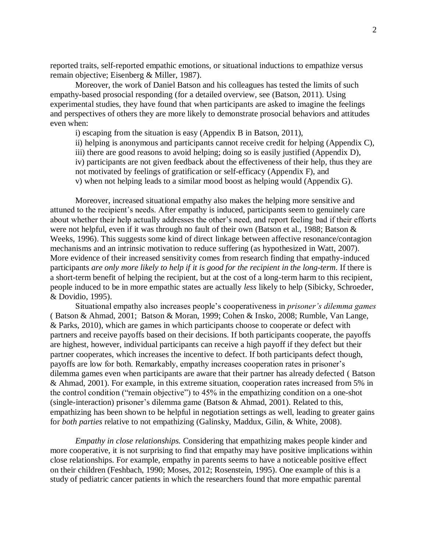reported traits, self-reported empathic emotions, or situational inductions to empathize versus remain objective; [Eisenberg & Miller, 1987\)](#page-32-3).

Moreover, the work of Daniel Batson and his colleagues has tested the limits of such empathy-based prosocial responding (for a detailed overview, see [\(Batson, 2011\)](#page-27-1). Using experimental studies, they have found that when participants are asked to imagine the feelings and perspectives of others they are more likely to demonstrate prosocial behaviors and attitudes even when:

i) escaping from the situation is easy (Appendix B in Batson, 2011),

ii) helping is anonymous and participants cannot receive credit for helping (Appendix C),

iii) there are good reasons to avoid helping; doing so is easily justified (Appendix D),

iv) participants are not given feedback about the effectiveness of their help, thus they are

not motivated by feelings of gratification or self-efficacy (Appendix F), and

v) when not helping leads to a similar mood boost as helping would (Appendix G).

Moreover, increased situational empathy also makes the helping more sensitive and attuned to the recipient's needs. After empathy is induced, participants seem to genuinely care about whether their help actually addresses the other's need, and report feeling bad if their efforts were not helpful, even if it was through no fault of their own [\(Batson et al., 1988;](#page-28-1) [Batson &](#page-29-1)  [Weeks, 1996\)](#page-29-1). This suggests some kind of direct linkage between affective resonance/contagion mechanisms and an intrinsic motivation to reduce suffering (as hypothesized in Watt, 2007). More evidence of their increased sensitivity comes from research finding that empathy-induced participants *are only more likely to help if it is good for the recipient in the long-term*. If there is a short-term benefit of helping the recipient, but at the cost of a long-term harm to this recipient, people induced to be in more empathic states are actually *less* likely to help [\(Sibicky, Schroeder,](#page-40-0)  [& Dovidio, 1995\)](#page-40-0).

Situational empathy also increases people's cooperativeness in *prisoner's dilemma games* ( [Batson & Ahmad, 2001;](#page-28-2) [Batson & Moran, 1999;](#page-28-3) [Cohen & Insko, 2008;](#page-31-1) [Rumble, Van Lange,](#page-39-0)  [& Parks, 2010\)](#page-39-0), which are games in which participants choose to cooperate or defect with partners and receive payoffs based on their decisions. If both participants cooperate, the payoffs are highest, however, individual participants can receive a high payoff if they defect but their partner cooperates, which increases the incentive to defect. If both participants defect though, payoffs are low for both. Remarkably, empathy increases cooperation rates in prisoner's dilemma games even when participants are aware that their partner has already defected ( [Batson](#page-28-2)  [& Ahmad, 2001\)](#page-28-2). For example, in this extreme situation, cooperation rates increased from 5% in the control condition ("remain objective") to 45% in the empathizing condition on a one-shot (single-interaction) prisoner's dilemma game [\(Batson & Ahmad, 2001\)](#page-28-2). Related to this, empathizing has been shown to be helpful in negotiation settings as well, leading to greater gains for *both parties* relative to not empathizing [\(Galinsky, Maddux, Gilin, & White, 2008\)](#page-33-0).

*Empathy in close relationships.* Considering that empathizing makes people kinder and more cooperative, it is not surprising to find that empathy may have positive implications within close relationships. For example, empathy in parents seems to have a noticeable positive effect on their children [\(Feshbach, 1990;](#page-32-4) [Moses, 2012;](#page-37-0) [Rosenstein, 1995\)](#page-39-1). One example of this is a study of pediatric cancer patients in which the researchers found that more empathic parental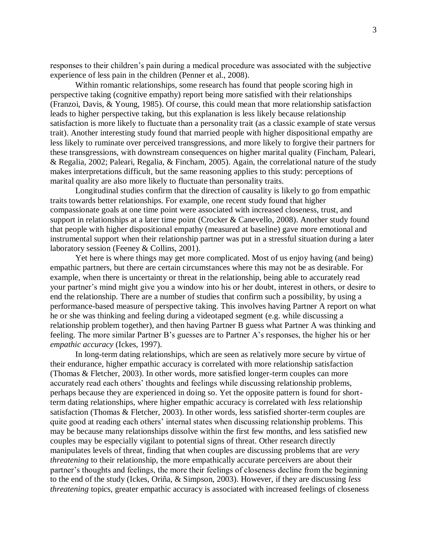responses to their children's pain during a medical procedure was associated with the subjective experience of less pain in the children [\(Penner et al., 2008\)](#page-38-1).

Within romantic relationships, some research has found that people scoring high in perspective taking (cognitive empathy) report being more satisfied with their relationships [\(Franzoi, Davis, & Young, 1985\)](#page-33-1). Of course, this could mean that more relationship satisfaction leads to higher perspective taking, but this explanation is less likely because relationship satisfaction is more likely to fluctuate than a personality trait (as a classic example of state versus trait). Another interesting study found that married people with higher dispositional empathy are less likely to ruminate over perceived transgressions, and more likely to forgive their partners for these transgressions, with downstream consequences on higher marital quality [\(Fincham, Paleari,](#page-33-2)  [& Regalia, 2002;](#page-33-2) [Paleari, Regalia, & Fincham, 2005\)](#page-38-2). Again, the correlational nature of the study makes interpretations difficult, but the same reasoning applies to this study: perceptions of marital quality are also more likely to fluctuate than personality traits.

Longitudinal studies confirm that the direction of causality is likely to go from empathic traits towards better relationships. For example, one recent study found that higher compassionate goals at one time point were associated with increased closeness, trust, and support in relationships at a later time point [\(Crocker & Canevello, 2008\)](#page-31-2). Another study found that people with higher dispositional empathy (measured at baseline) gave more emotional and instrumental support when their relationship partner was put in a stressful situation during a later laboratory session [\(Feeney & Collins, 2001\)](#page-32-5).

Yet here is where things may get more complicated. Most of us enjoy having (and being) empathic partners, but there are certain circumstances where this may not be as desirable. For example, when there is uncertainty or threat in the relationship, being able to accurately read your partner's mind might give you a window into his or her doubt, interest in others, or desire to end the relationship. There are a number of studies that confirm such a possibility, by using a performance-based measure of perspective taking. This involves having Partner A report on what he or she was thinking and feeling during a videotaped segment (e.g. while discussing a relationship problem together), and then having Partner B guess what Partner A was thinking and feeling. The more similar Partner B's guesses are to Partner A's responses, the higher his or her *empathic accuracy* [\(Ickes, 1997\)](#page-34-1).

In long-term dating relationships, which are seen as relatively more secure by virtue of their endurance, higher empathic accuracy is correlated with more relationship satisfaction [\(Thomas & Fletcher, 2003\)](#page-41-0). In other words, more satisfied longer-term couples can more accurately read each others' thoughts and feelings while discussing relationship problems, perhaps because they are experienced in doing so. Yet the opposite pattern is found for shortterm dating relationships, where higher empathic accuracy is correlated with *less* relationship satisfaction [\(Thomas & Fletcher, 2003\)](#page-41-0). In other words, less satisfied shorter-term couples are quite good at reading each others' internal states when discussing relationship problems. This may be because many relationships dissolve within the first few months, and less satisfied new couples may be especially vigilant to potential signs of threat. Other research directly manipulates levels of threat, finding that when couples are discussing problems that are *very threatening* to their relationship, the more empathically accurate perceivers are about their partner's thoughts and feelings, the more their feelings of closeness decline from the beginning to the end of the study [\(Ickes, Oriña, & Simpson, 2003\)](#page-34-2). However, if they are discussing *less threatening* topics, greater empathic accuracy is associated with increased feelings of closeness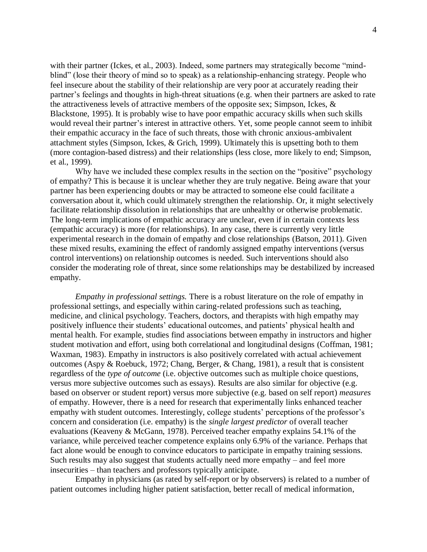with their partner [\(Ickes, et al., 2003\)](#page-34-2). Indeed, some partners may strategically become "mindblind" (lose their theory of mind so to speak) as a relationship-enhancing strategy. People who feel insecure about the stability of their relationship are very poor at accurately reading their partner's feelings and thoughts in high-threat situations (e.g. when their partners are asked to rate the attractiveness levels of attractive members of the opposite sex; Simpson, Ickes,  $\&$ [Blackstone, 1995\)](#page-40-1). It is probably wise to have poor empathic accuracy skills when such skills would reveal their partner's interest in attractive others. Yet, some people cannot seem to inhibit their empathic accuracy in the face of such threats, those with chronic anxious-ambivalent attachment styles [\(Simpson, Ickes, & Grich, 1999\)](#page-40-2). Ultimately this is upsetting both to them (more contagion-based distress) and their relationships (less close, more likely to end; [Simpson,](#page-40-2)  [et al., 1999\)](#page-40-2).

Why have we included these complex results in the section on the "positive" psychology of empathy? This is because it is unclear whether they are truly negative. Being aware that your partner has been experiencing doubts or may be attracted to someone else could facilitate a conversation about it, which could ultimately strengthen the relationship. Or, it might selectively facilitate relationship dissolution in relationships that are unhealthy or otherwise problematic. The long-term implications of empathic accuracy are unclear, even if in certain contexts less (empathic accuracy) is more (for relationships). In any case, there is currently very little experimental research in the domain of empathy and close relationships [\(Batson, 2011\)](#page-27-1). Given these mixed results, examining the effect of randomly assigned empathy interventions (versus control interventions) on relationship outcomes is needed. Such interventions should also consider the moderating role of threat, since some relationships may be destabilized by increased empathy.

*Empathy in professional settings.* There is a robust literature on the role of empathy in professional settings, and especially within caring-related professions such as teaching, medicine, and clinical psychology. Teachers, doctors, and therapists with high empathy may positively influence their students' educational outcomes, and patients' physical health and mental health. For example, studies find associations between empathy in instructors and higher student motivation and effort, using both correlational and longitudinal designs [\(Coffman, 1981;](#page-31-3) [Waxman, 1983\)](#page-42-1). Empathy in instructors is also positively correlated with actual achievement outcomes [\(Aspy & Roebuck, 1972;](#page-27-2) [Chang, Berger, & Chang, 1981\)](#page-30-1), a result that is consistent regardless of the *type of outcome* (i.e. objective outcomes such as multiple choice questions, versus more subjective outcomes such as essays). Results are also similar for objective (e.g. based on observer or student report) versus more subjective (e.g. based on self report) *measures* of empathy. However, there is a need for research that experimentally links enhanced teacher empathy with student outcomes. Interestingly, college students' perceptions of the professor's concern and consideration (i.e. empathy) is the *single largest predictor* of overall teacher evaluations [\(Keaveny & McGann, 1978\)](#page-35-0). Perceived teacher empathy explains 54.1% of the variance, while perceived teacher competence explains only 6.9% of the variance. Perhaps that fact alone would be enough to convince educators to participate in empathy training sessions. Such results may also suggest that students actually need more empathy – and feel more insecurities – than teachers and professors typically anticipate.

Empathy in physicians (as rated by self-report or by observers) is related to a number of patient outcomes including higher patient satisfaction, better recall of medical information,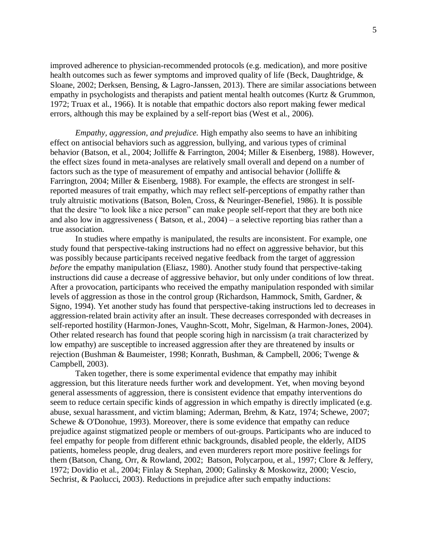improved adherence to physician-recommended protocols (e.g. medication), and more positive health outcomes such as fewer symptoms and improved quality of life [\(Beck, Daughtridge, &](#page-29-2)  [Sloane, 2002;](#page-29-2) [Derksen, Bensing, & Lagro-Janssen, 2013\)](#page-32-6). There are similar associations between empathy in psychologists and therapists and patient mental health outcomes (Kurtz & Grummon, [1972;](#page-36-0) [Truax et al., 1966\)](#page-41-1)*.* It is notable that empathic doctors also report making fewer medical errors, although this may be explained by a self-report bias [\(West et al., 2006\)](#page-42-2).

*Empathy, aggression, and prejudice.* High empathy also seems to have an inhibiting effect on antisocial behaviors such as aggression, bullying, and various types of criminal behavior [\(Batson, et al., 2004;](#page-28-0) [Jolliffe & Farrington, 2004;](#page-35-1) [Miller & Eisenberg, 1988\)](#page-37-1). However, the effect sizes found in meta-analyses are relatively small overall and depend on a number of factors such as the type of measurement of empathy and antisocial behavior (Jolliffe  $\&$ [Farrington, 2004;](#page-35-1) [Miller & Eisenberg, 1988\)](#page-37-1). For example, the effects are strongest in selfreported measures of trait empathy, which may reflect self-perceptions of empathy rather than truly altruistic motivations [\(Batson, Bolen, Cross, & Neuringer-Benefiel, 1986\)](#page-28-4). It is possible that the desire "to look like a nice person" can make people self-report that they are both nice and also low in aggressiveness ( [Batson, et al., 2004\)](#page-28-0) – a selective reporting bias rather than a true association.

In studies where empathy is manipulated, the results are inconsistent. For example, one study found that perspective-taking instructions had no effect on aggressive behavior, but this was possibly because participants received negative feedback from the target of aggression *before* the empathy manipulation [\(Eliasz, 1980\)](#page-32-7). Another study found that perspective-taking instructions did cause a decrease of aggressive behavior, but only under conditions of low threat. After a provocation, participants who received the empathy manipulation responded with similar levels of aggression as those in the control group [\(Richardson, Hammock, Smith, Gardner, &](#page-39-2)  [Signo, 1994\)](#page-39-2). Yet another study has found that perspective-taking instructions led to decreases in aggression-related brain activity after an insult. These decreases corresponded with decreases in self-reported hostility [\(Harmon-Jones, Vaughn-Scott, Mohr, Sigelman, & Harmon-Jones, 2004\)](#page-34-3). Other related research has found that people scoring high in narcissism (a trait characterized by low empathy) are susceptible to increased aggression after they are threatened by insults or rejection [\(Bushman & Baumeister, 1998;](#page-30-2) [Konrath, Bushman, & Campbell, 2006;](#page-35-2) [Twenge &](#page-41-2)  [Campbell, 2003\)](#page-41-2).

Taken together, there is some experimental evidence that empathy may inhibit aggression, but this literature needs further work and development. Yet, when moving beyond general assessments of aggression, there is consistent evidence that empathy interventions do seem to reduce certain specific kinds of aggression in which empathy is directly implicated (e.g. abuse, sexual harassment, and victim blaming; [Aderman, Brehm, & Katz, 1974;](#page-27-3) [Schewe, 2007;](#page-39-3) [Schewe & O'Donohue, 1993\)](#page-39-4). Moreover, there is some evidence that empathy can reduce prejudice against stigmatized people or members of out-groups. Participants who are induced to feel empathy for people from different ethnic backgrounds, disabled people, the elderly, AIDS patients, homeless people, drug dealers, and even murderers report more positive feelings for them [\(Batson, Chang, Orr, & Rowland, 2002;](#page-28-5) [Batson, Polycarpou, et al., 1997;](#page-28-6) [Clore & Jeffery,](#page-31-4)  [1972;](#page-31-4) [Dovidio et al., 2004;](#page-32-8) [Finlay & Stephan, 2000;](#page-33-3) [Galinsky & Moskowitz, 2000;](#page-33-4) [Vescio,](#page-42-3)  [Sechrist, & Paolucci, 2003\)](#page-42-3). Reductions in prejudice after such empathy inductions: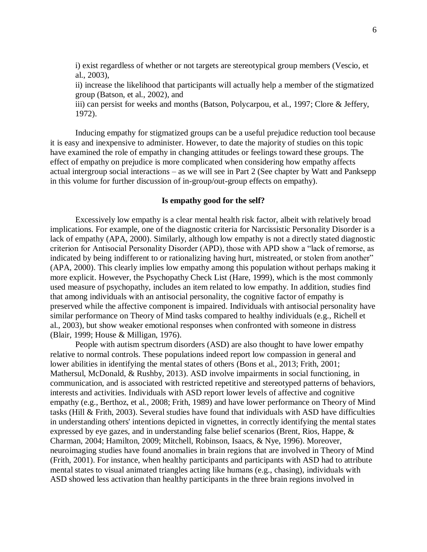i) exist regardless of whether or not targets are stereotypical group members [\(Vescio, et](#page-42-3)  [al., 2003\)](#page-42-3),

ii) increase the likelihood that participants will actually help a member of the stigmatized group [\(Batson, et al., 2002\)](#page-28-5), and

iii) can persist for weeks and months [\(Batson, Polycarpou, et al., 1997;](#page-28-6) [Clore & Jeffery,](#page-31-4)  [1972\)](#page-31-4).

Inducing empathy for stigmatized groups can be a useful prejudice reduction tool because it is easy and inexpensive to administer. However, to date the majority of studies on this topic have examined the role of empathy in changing attitudes or feelings toward these groups. The effect of empathy on prejudice is more complicated when considering how empathy affects actual intergroup social interactions – as we will see in Part 2 (See chapter by Watt and Panksepp in this volume for further discussion of in-group/out-group effects on empathy).

### **Is empathy good for the self?**

Excessively low empathy is a clear mental health risk factor, albeit with relatively broad implications. For example, one of the diagnostic criteria for Narcissistic Personality Disorder is a lack of empathy [\(APA,](#page-27-4) 2000). Similarly, although low empathy is not a directly stated diagnostic criterion for Antisocial Personality Disorder (APD), those with APD show a "lack of remorse, as indicated by being indifferent to or rationalizing having hurt, mistreated, or stolen from another" [\(APA, 2000\)](#page-27-4). This clearly implies low empathy among this population without perhaps making it more explicit. However, the Psychopathy Check List [\(Hare, 1999\)](#page-34-4), which is the most commonly used measure of psychopathy, includes an item related to low empathy. In addition, studies find that among individuals with an antisocial personality, the cognitive factor of empathy is preserved while the affective component is impaired. Individuals with antisocial personality have similar performance on Theory of Mind tasks compared to healthy individuals (e.g., Richell et al., 2003), but show weaker emotional responses when confronted with someone in distress (Blair, 1999; House & Milligan, 1976).

People with autism spectrum disorders (ASD) are also thought to have lower empathy relative to normal controls. These populations indeed report low compassion in general and lower abilities in identifying the mental states of others [\(Bons et al., 2013;](#page-29-3) [Frith, 2001;](#page-33-5) [Mathersul, McDonald, & Rushby, 2013\)](#page-37-2). ASD involve impairments in social functioning, in communication, and is associated with restricted repetitive and stereotyped patterns of behaviors, interests and activities. Individuals with ASD report lower levels of affective and cognitive empathy (e.g., Berthoz, et al., 2008; Frith, 1989) and have lower performance on Theory of Mind tasks (Hill & Frith, 2003). Several studies have found that individuals with ASD have difficulties in understanding others' intentions depicted in vignettes, in correctly identifying the mental states expressed by eye gazes, and in understanding false belief scenarios (Brent, Rios, Happe, & Charman, 2004; Hamilton, 2009; Mitchell, Robinson, Isaacs, & Nye, 1996). Moreover, neuroimaging studies have found anomalies in brain regions that are involved in Theory of Mind (Frith, 2001). For instance, when healthy participants and participants with ASD had to attribute mental states to visual animated triangles acting like humans (e.g., chasing), individuals with ASD showed less activation than healthy participants in the three brain regions involved in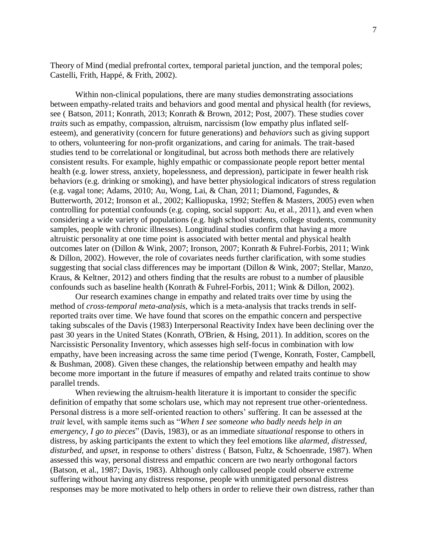Theory of Mind (medial prefrontal cortex, temporal parietal junction, and the temporal poles; Castelli, Frith, Happé, & Frith, 2002).

Within non-clinical populations, there are many studies demonstrating associations between empathy-related traits and behaviors and good mental and physical health (for reviews, see ( [Batson, 2011;](#page-27-1) [Konrath, 2013;](#page-35-3) [Konrath & Brown, 2012;](#page-35-4) [Post, 2007\)](#page-39-5). These studies cover *traits* such as empathy, compassion, altruism, narcissism (low empathy plus inflated selfesteem), and generativity (concern for future generations) and *behaviors* such as giving support to others, volunteering for non-profit organizations, and caring for animals. The trait-based studies tend to be correlational or longitudinal, but across both methods there are relatively consistent results. For example, highly empathic or compassionate people report better mental health (e.g. lower stress, anxiety, hopelessness, and depression), participate in fewer health risk behaviors (e.g. drinking or smoking), and have better physiological indicators of stress regulation (e.g. vagal tone; [Adams, 2010;](#page-27-5) [Au, Wong, Lai, & Chan, 2011;](#page-27-6) [Diamond, Fagundes, &](#page-32-9)  [Butterworth, 2012;](#page-32-9) [Ironson et al., 2002;](#page-35-5) [Kalliopuska, 1992;](#page-35-6) [Steffen & Masters, 2005\)](#page-40-3) even when controlling for potential confounds (e.g. coping, social support: [Au, et al., 2011\)](#page-27-6), and even when considering a wide variety of populations (e.g. high school students, college students, community samples, people with chronic illnesses). Longitudinal studies confirm that having a more altruistic personality at one time point is associated with better mental and physical health outcomes later on [\(Dillon & Wink, 2007;](#page-32-10) [Ironson, 2007;](#page-35-7) [Konrath & Fuhrel-Forbis, 2011;](#page-35-8) [Wink](#page-42-4)  [& Dillon, 2002\)](#page-42-4). However, the role of covariates needs further clarification, with some studies suggesting that social class differences may be important [\(Dillon & Wink, 2007;](#page-32-10) [Stellar, Manzo,](#page-40-4)  Kraus,  $\&$  Keltner, 2012) and others finding that the results are robust to a number of plausible confounds such as baseline health [\(Konrath & Fuhrel-Forbis, 2011;](#page-35-8) [Wink & Dillon, 2002\)](#page-42-4).

Our research examines change in empathy and related traits over time by using the method of *cross-temporal meta-analysis*, which is a meta-analysis that tracks trends in selfreported traits over time. We have found that scores on the empathic concern and perspective taking subscales of the Davis (1983) Interpersonal Reactivity Index have been declining over the past 30 years in the United States [\(Konrath, O'Brien, & Hsing, 2011\)](#page-36-1). In addition, scores on the Narcissistic Personality Inventory, which assesses high self-focus in combination with low empathy, have been increasing across the same time period [\(Twenge, Konrath, Foster, Campbell,](#page-41-3)  [& Bushman, 2008\)](#page-41-3). Given these changes, the relationship between empathy and health may become more important in the future if measures of empathy and related traits continue to show parallel trends.

When reviewing the altruism-health literature it is important to consider the specific definition of empathy that some scholars use, which may not represent true other-orientedness. Personal distress is a more self-oriented reaction to others' suffering. It can be assessed at the *trait* level, with sample items such as "*When I see someone who badly needs help in an emergency, I go to pieces*" [\(Davis, 1983\)](#page-31-0), or as an immediate *situational* response to others in distress, by asking participants the extent to which they feel emotions like *alarmed, distressed, disturbed,* and *upset*, in response to others' distress ( [Batson, Fultz, & Schoenrade, 1987\)](#page-28-7). When assessed this way, personal distress and empathic concern are two nearly orthogonal factors [\(Batson, et al., 1987;](#page-28-7) [Davis, 1983\)](#page-31-0). Although only calloused people could observe extreme suffering without having any distress response, people with unmitigated personal distress responses may be more motivated to help others in order to relieve their own distress, rather than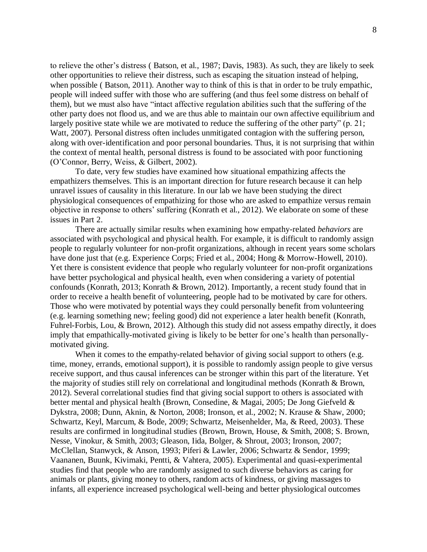to relieve the other's distress ( [Batson, et al., 1987;](#page-28-7) [Davis, 1983\)](#page-31-0). As such, they are likely to seek other opportunities to relieve their distress, such as escaping the situation instead of helping, when possible ( [Batson, 2011\)](#page-27-1). Another way to think of this is that in order to be truly empathic, people will indeed suffer with those who are suffering (and thus feel some distress on behalf of them), but we must also have "intact affective regulation abilities such that the suffering of the other party does not flood us, and we are thus able to maintain our own affective equilibrium and largely positive state while we are motivated to reduce the suffering of the other party" (p. 21; [Watt, 2007\)](#page-42-0). Personal distress often includes unmitigated contagion with the suffering person, along with over-identification and poor personal boundaries. Thus, it is not surprising that within the context of mental health, personal distress is found to be associated with poor functioning [\(O'Connor, Berry, Weiss, & Gilbert, 2002\)](#page-38-3).

To date, very few studies have examined how situational empathizing affects the empathizers themselves. This is an important direction for future research because it can help unravel issues of causality in this literature. In our lab we have been studying the direct physiological consequences of empathizing for those who are asked to empathize versus remain objective in response to others' suffering [\(Konrath et al., 2012\)](#page-36-2). We elaborate on some of these issues in Part 2.

There are actually similar results when examining how empathy-related *behaviors* are associated with psychological and physical health. For example, it is difficult to randomly assign people to regularly volunteer for non-profit organizations, although in recent years some scholars have done just that (e.g. Experience Corps; [Fried et al., 2004;](#page-33-6) [Hong & Morrow-Howell, 2010\)](#page-34-5). Yet there is consistent evidence that people who regularly volunteer for non-profit organizations have better psychological and physical health, even when considering a variety of potential confounds [\(Konrath, 2013;](#page-35-3) [Konrath & Brown, 2012\)](#page-35-4). Importantly, a recent study found that in order to receive a health benefit of volunteering, people had to be motivated by care for others. Those who were motivated by potential ways they could personally benefit from volunteering (e.g. learning something new; feeling good) did not experience a later health benefit [\(Konrath,](#page-36-3)  [Fuhrel-Forbis, Lou, & Brown, 2012\)](#page-36-3). Although this study did not assess empathy directly, it does imply that empathically-motivated giving is likely to be better for one's health than personallymotivated giving.

When it comes to the empathy-related behavior of giving social support to others (e.g. time, money, errands, emotional support), it is possible to randomly assign people to give versus receive support, and thus causal inferences can be stronger within this part of the literature. Yet the majority of studies still rely on correlational and longitudinal methods [\(Konrath & Brown,](#page-35-4)  [2012\)](#page-35-4). Several correlational studies find that giving social support to others is associated with better mental and physical health [\(Brown, Consedine, & Magai, 2005;](#page-30-3) [De Jong Giefveld &](#page-31-5)  [Dykstra, 2008;](#page-31-5) [Dunn, Aknin, & Norton, 2008;](#page-32-11) [Ironson, et al., 2002;](#page-35-5) [N. Krause & Shaw, 2000;](#page-36-4) [Schwartz, Keyl, Marcum, & Bode, 2009;](#page-39-6) [Schwartz, Meisenhelder, Ma, & Reed, 2003\)](#page-39-7). These results are confirmed in longitudinal studies [\(Brown, Brown, House, & Smith, 2008;](#page-29-4) [S. Brown,](#page-30-4)  [Nesse, Vinokur, & Smith, 2003;](#page-30-4) [Gleason, Iida, Bolger, & Shrout, 2003;](#page-33-7) [Ironson, 2007;](#page-35-7) [McClellan, Stanwyck, & Anson, 1993;](#page-37-3) [Piferi & Lawler, 2006;](#page-38-4) [Schwartz & Sendor, 1999;](#page-39-8) [Vaananen, Buunk, Kivimaki, Pentti, & Vahtera, 2005\)](#page-41-4). Experimental and quasi-experimental studies find that people who are randomly assigned to such diverse behaviors as caring for animals or plants, giving money to others, random acts of kindness, or giving massages to infants, all experience increased psychological well-being and better physiological outcomes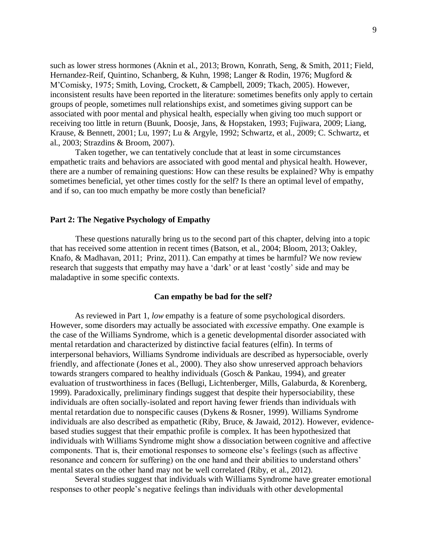such as lower stress hormones [\(Aknin et al., 2013;](#page-27-7) [Brown, Konrath, Seng, & Smith, 2011;](#page-30-5) [Field,](#page-33-8)  [Hernandez-Reif, Quintino, Schanberg, & Kuhn, 1998;](#page-33-8) [Langer & Rodin, 1976;](#page-36-5) [Mugford &](#page-37-4)  [M'Comisky, 1975;](#page-37-4) [Smith, Loving, Crockett, & Campbell, 2009;](#page-40-5) [Tkach, 2005\)](#page-41-5). However, inconsistent results have been reported in the literature: sometimes benefits only apply to certain groups of people, sometimes null relationships exist, and sometimes giving support can be associated with poor mental and physical health, especially when giving too much support or receiving too little in return [\(Buunk, Doosje, Jans, & Hopstaken, 1993;](#page-30-6) [Fujiwara, 2009;](#page-33-9) [Liang,](#page-36-6)  [Krause, & Bennett, 2001;](#page-36-6) [Lu, 1997;](#page-37-5) [Lu & Argyle, 1992;](#page-37-6) [Schwartz, et al., 2009;](#page-39-6) [C. Schwartz, et](#page-39-7)  [al., 2003;](#page-39-7) [Strazdins & Broom, 2007\)](#page-41-6).

Taken together, we can tentatively conclude that at least in some circumstances empathetic traits and behaviors are associated with good mental and physical health. However, there are a number of remaining questions: How can these results be explained? Why is empathy sometimes beneficial, yet other times costly for the self? Is there an optimal level of empathy, and if so, can too much empathy be more costly than beneficial?

### **Part 2: The Negative Psychology of Empathy**

These questions naturally bring us to the second part of this chapter, delving into a topic that has received some attention in recent times [\(Batson, et al., 2004;](#page-28-0) [Bloom, 2013;](#page-29-5) [Oakley,](#page-38-5)  [Knafo, & Madhavan, 2011;](#page-38-5) [Prinz, 2011\)](#page-39-9). Can empathy at times be harmful? We now review research that suggests that empathy may have a 'dark' or at least 'costly' side and may be maladaptive in some specific contexts.

#### **Can empathy be bad for the self?**

As reviewed in Part 1, *low* empathy is a feature of some psychological disorders. However, some disorders may actually be associated with *excessive* empathy. One example is the case of the Williams Syndrome, which is a genetic developmental disorder associated with mental retardation and characterized by distinctive facial features (elfin). In terms of interpersonal behaviors, Williams Syndrome individuals are described as hypersociable, overly friendly, and affectionate [\(Jones et al., 2000\)](#page-35-9). They also show unreserved approach behaviors towards strangers compared to healthy individuals [\(Gosch & Pankau, 1994\)](#page-33-10), and greater evaluation of trustworthiness in faces [\(Bellugi, Lichtenberger, Mills, Galaburda, & Korenberg,](#page-29-6)  [1999\)](#page-29-6). Paradoxically, preliminary findings suggest that despite their hypersociability, these individuals are often socially-isolated and report having fewer friends than individuals with mental retardation due to nonspecific causes [\(Dykens & Rosner, 1999\)](#page-32-12). Williams Syndrome individuals are also described as empathetic [\(Riby, Bruce, & Jawaid, 2012\)](#page-39-10). However, evidencebased studies suggest that their empathic profile is complex. It has been hypothesized that individuals with Williams Syndrome might show a dissociation between cognitive and affective components. That is, their emotional responses to someone else's feelings (such as affective resonance and concern for suffering) on the one hand and their abilities to understand others' mental states on the other hand may not be well correlated [\(Riby, et al., 2012\)](#page-39-10).

Several studies suggest that individuals with Williams Syndrome have greater emotional responses to other people's negative feelings than individuals with other developmental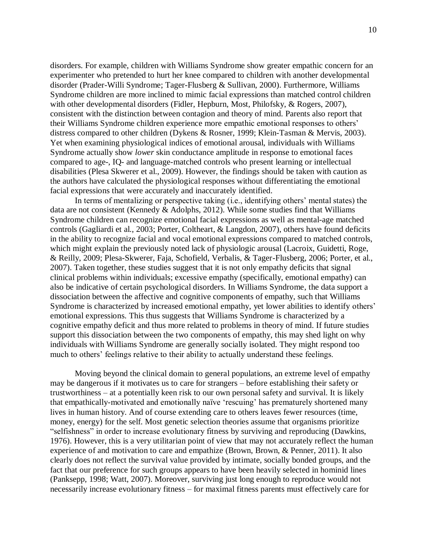disorders. For example, children with Williams Syndrome show greater empathic concern for an experimenter who pretended to hurt her knee compared to children with another developmental disorder (Prader-Willi Syndrome; [Tager-Flusberg & Sullivan, 2000\)](#page-41-7). Furthermore, Williams Syndrome children are more inclined to mimic facial expressions than matched control children with other developmental disorders [\(Fidler, Hepburn, Most, Philofsky, & Rogers, 2007\)](#page-32-13), consistent with the distinction between contagion and theory of mind. Parents also report that their Williams Syndrome children experience more empathic emotional responses to others' distress compared to other children [\(Dykens & Rosner, 1999;](#page-32-12) [Klein-Tasman & Mervis, 2003\)](#page-35-10). Yet when examining physiological indices of emotional arousal, individuals with Williams Syndrome actually show *lower* skin conductance amplitude in response to emotional faces compared to age-, IQ- and language-matched controls who present learning or intellectual disabilities [\(Plesa Skwerer et al., 2009\)](#page-38-6). However, the findings should be taken with caution as the authors have calculated the physiological responses without differentiating the emotional facial expressions that were accurately and inaccurately identified.

In terms of mentalizing or perspective taking (i.e., identifying others' mental states) the data are not consistent [\(Kennedy & Adolphs, 2012\)](#page-35-11). While some studies find that Williams Syndrome children can recognize emotional facial expressions as well as mental-age matched controls [\(Gagliardi et al., 2003;](#page-33-11) [Porter, Coltheart, & Langdon, 2007\)](#page-38-7), others have found deficits in the ability to recognize facial and vocal emotional expressions compared to matched controls, which might explain the previously noted lack of physiologic arousal [\(Lacroix, Guidetti, Roge,](#page-36-7)  [& Reilly, 2009;](#page-36-7) [Plesa-Skwerer, Faja, Schofield, Verbalis, & Tager-Flusberg, 2006;](#page-38-8) [Porter, et al.,](#page-38-7)  [2007\)](#page-38-7). Taken together, these studies suggest that it is not only empathy deficits that signal clinical problems within individuals; excessive empathy (specifically, emotional empathy) can also be indicative of certain psychological disorders. In Williams Syndrome, the data support a dissociation between the affective and cognitive components of empathy, such that Williams Syndrome is characterized by increased emotional empathy, yet lower abilities to identify others' emotional expressions. This thus suggests that Williams Syndrome is characterized by a cognitive empathy deficit and thus more related to problems in theory of mind. If future studies support this dissociation between the two components of empathy, this may shed light on why individuals with Williams Syndrome are generally socially isolated. They might respond too much to others' feelings relative to their ability to actually understand these feelings.

Moving beyond the clinical domain to general populations, an extreme level of empathy may be dangerous if it motivates us to care for strangers – before establishing their safety or trustworthiness – at a potentially keen risk to our own personal safety and survival. It is likely that empathically-motivated and emotionally naïve 'rescuing' has prematurely shortened many lives in human history. And of course extending care to others leaves fewer resources (time, money, energy) for the self. Most genetic selection theories assume that organisms prioritize "selfishness" in order to increase evolutionary fitness by surviving and reproducing [\(Dawkins,](#page-31-6)  [1976\)](#page-31-6). However, this is a very utilitarian point of view that may not accurately reflect the human experience of and motivation to care and empathize [\(Brown, Brown, & Penner, 2011\)](#page-30-7). It also clearly does not reflect the survival value provided by intimate, socially bonded groups, and the fact that our preference for such groups appears to have been heavily selected in hominid lines [\(Panksepp, 1998;](#page-38-0) [Watt, 2007\)](#page-42-0). Moreover, surviving just long enough to reproduce would not necessarily increase evolutionary fitness – for maximal fitness parents must effectively care for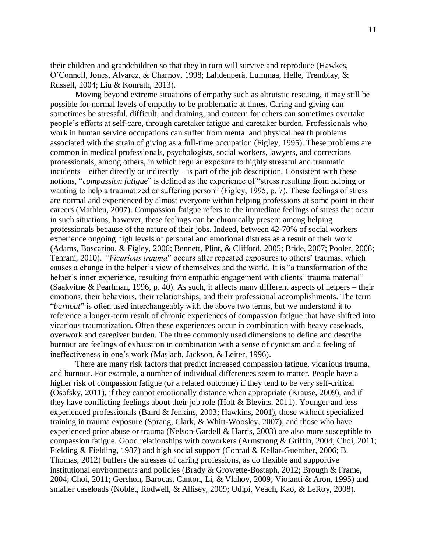their children and grandchildren so that they in turn will survive and reproduce [\(Hawkes,](#page-34-6)  [O'Connell, Jones, Alvarez, & Charnov, 1998;](#page-34-6) [Lahdenperä, Lummaa, Helle, Tremblay, &](#page-36-8)  [Russell, 2004;](#page-36-8) [Liu & Konrath, 2013\)](#page-37-7).

Moving beyond extreme situations of empathy such as altruistic rescuing, it may still be possible for normal levels of empathy to be problematic at times. Caring and giving can sometimes be stressful, difficult, and draining, and concern for others can sometimes overtake people's efforts at self-care, through caretaker fatigue and caretaker burden. Professionals who work in human service occupations can suffer from mental and physical health problems associated with the strain of giving as a full-time occupation [\(Figley, 1995\)](#page-33-12). These problems are common in medical professionals, psychologists, social workers, lawyers, and corrections professionals, among others, in which regular exposure to highly stressful and traumatic incidents – either directly or indirectly – is part of the job description. Consistent with these notions, "*compassion fatigue*" is defined as the experience of "stress resulting from helping or wanting to help a traumatized or suffering person" (Figley, 1995, p. 7). These feelings of stress are normal and experienced by almost everyone within helping professions at some point in their careers [\(Mathieu, 2007\)](#page-37-8). Compassion fatigue refers to the immediate feelings of stress that occur in such situations, however, these feelings can be chronically present among helping professionals because of the nature of their jobs. Indeed, between 42-70% of social workers experience ongoing high levels of personal and emotional distress as a result of their work [\(Adams, Boscarino, & Figley, 2006;](#page-27-8) [Bennett, Plint, & Clifford, 2005;](#page-29-7) [Bride, 2007;](#page-29-8) [Pooler, 2008;](#page-38-9) [Tehrani, 2010\)](#page-41-8). *"Vicarious trauma*" occurs after repeated exposures to others' traumas, which causes a change in the helper's view of themselves and the world. It is "a transformation of the helper's inner experience, resulting from empathic engagement with clients' trauma material" [\(Saakvitne & Pearlman, 1996,](#page-39-11) p. 40). As such, it affects many different aspects of helpers – their emotions, their behaviors, their relationships, and their professional accomplishments. The term "*burnout*" is often used interchangeably with the above two terms, but we understand it to reference a longer-term result of chronic experiences of compassion fatigue that have shifted into vicarious traumatization. Often these experiences occur in combination with heavy caseloads, overwork and caregiver burden. The three commonly used dimensions to define and describe burnout are feelings of exhaustion in combination with a sense of cynicism and a feeling of ineffectiveness in one's work [\(Maslach, Jackson, & Leiter, 1996\)](#page-37-9).

There are many risk factors that predict increased compassion fatigue, vicarious trauma, and burnout. For example, a number of individual differences seem to matter. People have a higher risk of compassion fatigue (or a related outcome) if they tend to be very self-critical [\(Osofsky, 2011\)](#page-38-10), if they cannot emotionally distance when appropriate [\(Krause, 2009\)](#page-36-9), and if they have conflicting feelings about their job role [\(Holt & Blevins, 2011\)](#page-34-7). Younger and less experienced professionals [\(Baird & Jenkins, 2003;](#page-27-9) [Hawkins, 2001\)](#page-34-8), those without specialized training in trauma exposure [\(Sprang, Clark, & Whitt-Woosley, 2007\)](#page-40-6), and those who have experienced prior abuse or trauma [\(Nelson-Gardell & Harris, 2003\)](#page-38-11) are also more susceptible to compassion fatigue. Good relationships with coworkers [\(Armstrong & Griffin, 2004;](#page-27-10) [Choi, 2011;](#page-31-7) [Fielding & Fielding, 1987\)](#page-33-13) and high social support [\(Conrad & Kellar-Guenther, 2006;](#page-31-8) [B.](#page-41-9)  [Thomas, 2012\)](#page-41-9) buffers the stresses of caring professions, as do flexible and supportive institutional environments and policies [\(Brady & Growette-Bostaph, 2012;](#page-29-9) [Brough & Frame,](#page-29-10)  [2004;](#page-29-10) [Choi, 2011;](#page-31-7) [Gershon, Barocas, Canton, Li, & Vlahov, 2009;](#page-33-14) [Violanti & Aron, 1995\)](#page-42-5) and smaller caseloads [\(Noblet, Rodwell, & Allisey, 2009;](#page-38-12) [Udipi, Veach, Kao, & LeRoy, 2008\)](#page-41-10).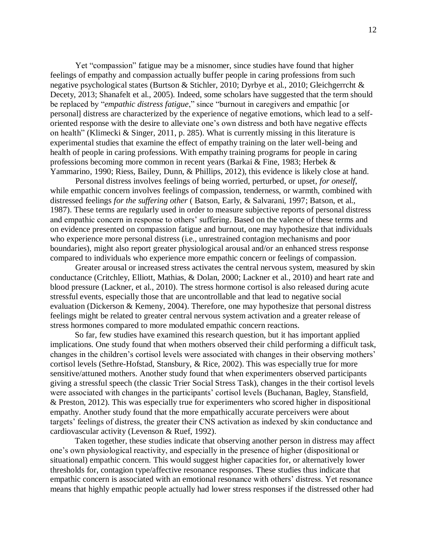Yet "compassion" fatigue may be a misnomer, since studies have found that higher feelings of empathy and compassion actually buffer people in caring professions from such negative psychological states [\(Burtson & Stichler, 2010;](#page-30-8) [Dyrbye et al., 2010;](#page-32-14) [Gleichgerrcht &](#page-33-15)  [Decety, 2013;](#page-33-15) [Shanafelt et al., 2005\)](#page-40-7). Indeed, some scholars have suggested that the term should be replaced by "*empathic distress fatigue*," since "burnout in caregivers and empathic [or personal] distress are characterized by the experience of negative emotions, which lead to a selforiented response with the desire to alleviate one's own distress and both have negative effects on health" [\(Klimecki & Singer, 2011,](#page-35-12) p. 285). What is currently missing in this literature is experimental studies that examine the effect of empathy training on the later well-being and health of people in caring professions. With empathy training programs for people in caring professions becoming more common in recent years [\(Barkai & Fine, 1983;](#page-27-11) [Herbek &](#page-34-9)  [Yammarino, 1990;](#page-34-9) [Riess, Bailey, Dunn, & Phillips, 2012\)](#page-39-12), this evidence is likely close at hand.

Personal distress involves feelings of being worried, perturbed, or upset, *for oneself*, while empathic concern involves feelings of compassion, tenderness, or warmth, combined with distressed feelings *for the suffering other* ( [Batson, Early, & Salvarani, 1997;](#page-28-8) [Batson, et al.,](#page-28-7)  [1987\)](#page-28-7). These terms are regularly used in order to measure subjective reports of personal distress and empathic concern in response to others' suffering. Based on the valence of these terms and on evidence presented on compassion fatigue and burnout, one may hypothesize that individuals who experience more personal distress (i.e., unrestrained contagion mechanisms and poor boundaries), might also report greater physiological arousal and/or an enhanced stress response compared to individuals who experience more empathic concern or feelings of compassion.

Greater arousal or increased stress activates the central nervous system, measured by skin conductance [\(Critchley, Elliott, Mathias, & Dolan, 2000;](#page-31-9) [Lackner et al., 2010\)](#page-36-10) and heart rate and blood pressure [\(Lackner, et al., 2010\)](#page-36-10). The stress hormone cortisol is also released during acute stressful events, especially those that are uncontrollable and that lead to negative social evaluation [\(Dickerson & Kemeny, 2004\)](#page-32-15). Therefore, one may hypothesize that personal distress feelings might be related to greater central nervous system activation and a greater release of stress hormones compared to more modulated empathic concern reactions.

So far, few studies have examined this research question, but it has important applied implications. One study found that when mothers observed their child performing a difficult task, changes in the children's cortisol levels were associated with changes in their observing mothers' cortisol levels [\(Sethre-Hofstad, Stansbury, & Rice, 2002\)](#page-40-8). This was especially true for more sensitive/attuned mothers. Another study found that when experimenters observed participants giving a stressful speech (the classic Trier Social Stress Task), changes in the their cortisol levels were associated with changes in the participants' cortisol levels [\(Buchanan, Bagley, Stansfield,](#page-30-9)  [& Preston, 2012\)](#page-30-9). This was especially true for experimenters who scored higher in dispositional empathy. Another study found that the more empathically accurate perceivers were about targets' feelings of distress, the greater their CNS activation as indexed by skin conductance and cardiovascular activity [\(Levenson & Ruef, 1992\)](#page-36-11).

Taken together, these studies indicate that observing another person in distress may affect one's own physiological reactivity, and especially in the presence of higher (dispositional or situational) empathic concern. This would suggest higher capacities for, or alternatively lower thresholds for, contagion type/affective resonance responses. These studies thus indicate that empathic concern is associated with an emotional resonance with others' distress. Yet resonance means that highly empathic people actually had lower stress responses if the distressed other had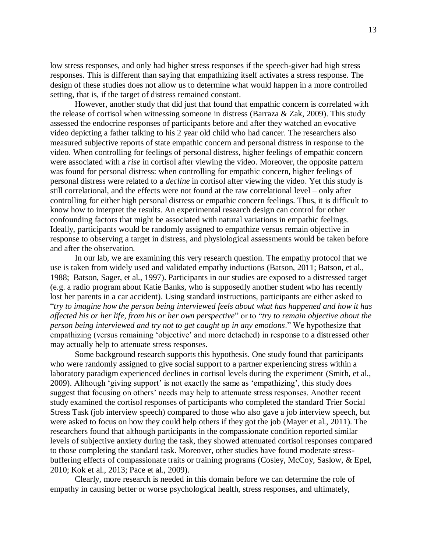low stress responses, and only had higher stress responses if the speech-giver had high stress responses. This is different than saying that empathizing itself activates a stress response. The design of these studies does not allow us to determine what would happen in a more controlled setting, that is, if the target of distress remained constant.

However, another study that did just that found that empathic concern is correlated with the release of cortisol when witnessing someone in distress [\(Barraza & Zak, 2009\)](#page-27-12). This study assessed the endocrine responses of participants before and after they watched an evocative video depicting a father talking to his 2 year old child who had cancer. The researchers also measured subjective reports of state empathic concern and personal distress in response to the video. When controlling for feelings of personal distress, higher feelings of empathic concern were associated with a *rise* in cortisol after viewing the video. Moreover, the opposite pattern was found for personal distress: when controlling for empathic concern, higher feelings of personal distress were related to a *decline* in cortisol after viewing the video. Yet this study is still correlational, and the effects were not found at the raw correlational level – only after controlling for either high personal distress or empathic concern feelings. Thus, it is difficult to know how to interpret the results. An experimental research design can control for other confounding factors that might be associated with natural variations in empathic feelings. Ideally, participants would be randomly assigned to empathize versus remain objective in response to observing a target in distress, and physiological assessments would be taken before and after the observation.

In our lab, we are examining this very research question. The empathy protocol that we use is taken from widely used and validated empathy inductions [\(Batson, 2011;](#page-27-1) [Batson, et al.,](#page-28-1)  [1988;](#page-28-1) [Batson, Sager, et al., 1997\)](#page-28-9). Participants in our studies are exposed to a distressed target (e.g. a radio program about Katie Banks, who is supposedly another student who has recently lost her parents in a car accident). Using standard instructions, participants are either asked to "*try to imagine how the person being interviewed feels about what has happened and how it has affected his or her life, from his or her own perspective*" or to "*try to remain objective about the person being interviewed and try not to get caught up in any emotions*." We hypothesize that empathizing (versus remaining 'objective' and more detached) in response to a distressed other may actually help to attenuate stress responses.

Some background research supports this hypothesis. One study found that participants who were randomly assigned to give social support to a partner experiencing stress within a laboratory paradigm experienced declines in cortisol levels during the experiment [\(Smith, et al.,](#page-40-5)  [2009\)](#page-40-5). Although 'giving support' is not exactly the same as 'empathizing', this study does suggest that focusing on others' needs may help to attenuate stress responses. Another recent study examined the cortisol responses of participants who completed the standard Trier Social Stress Task (job interview speech) compared to those who also gave a job interview speech, but were asked to focus on how they could help others if they got the job [\(Mayer et al., 2011\)](#page-37-10). The researchers found that although participants in the compassionate condition reported similar levels of subjective anxiety during the task, they showed attenuated cortisol responses compared to those completing the standard task. Moreover, other studies have found moderate stressbuffering effects of compassionate traits or training programs [\(Cosley, McCoy, Saslow, & Epel,](#page-31-10)  [2010;](#page-31-10) [Kok et al., 2013;](#page-35-13) [Pace et al.,](#page-38-13) 2009).

Clearly, more research is needed in this domain before we can determine the role of empathy in causing better or worse psychological health, stress responses, and ultimately,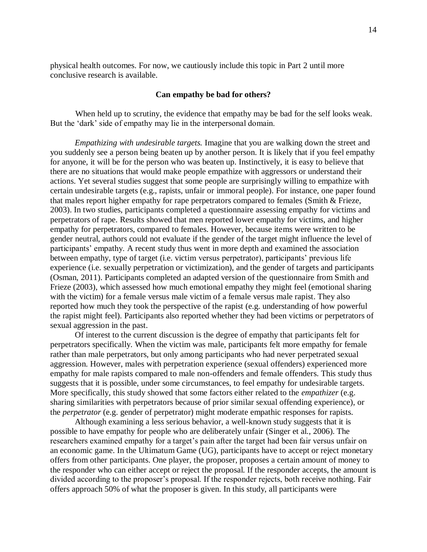physical health outcomes. For now, we cautiously include this topic in Part 2 until more conclusive research is available.

### **Can empathy be bad for others?**

When held up to scrutiny, the evidence that empathy may be bad for the self looks weak. But the 'dark' side of empathy may lie in the interpersonal domain.

*Empathizing with undesirable targets.* Imagine that you are walking down the street and you suddenly see a person being beaten up by another person. It is likely that if you feel empathy for anyone, it will be for the person who was beaten up. Instinctively, it is easy to believe that there are no situations that would make people empathize with aggressors or understand their actions. Yet several studies suggest that some people are surprisingly willing to empathize with certain undesirable targets (e.g., rapists, unfair or immoral people). For instance, one paper found that males report higher empathy for rape perpetrators compared to females [\(Smith & Frieze,](#page-40-9)  [2003\)](#page-40-9). In two studies, participants completed a questionnaire assessing empathy for victims and perpetrators of rape. Results showed that men reported lower empathy for victims, and higher empathy for perpetrators, compared to females. However, because items were written to be gender neutral, authors could not evaluate if the gender of the target might influence the level of participants' empathy. A recent study thus went in more depth and examined the association between empathy, type of target (i.e. victim versus perpetrator), participants' previous life experience (i.e. sexually perpetration or victimization), and the gender of targets and participants [\(Osman, 2011\)](#page-38-14). Participants completed an adapted version of the questionnaire from Smith and Frieze (2003), which assessed how much emotional empathy they might feel (emotional sharing with the victim) for a female versus male victim of a female versus male rapist. They also reported how much they took the perspective of the rapist (e.g. understanding of how powerful the rapist might feel). Participants also reported whether they had been victims or perpetrators of sexual aggression in the past.

Of interest to the current discussion is the degree of empathy that participants felt for perpetrators specifically. When the victim was male, participants felt more empathy for female rather than male perpetrators, but only among participants who had never perpetrated sexual aggression. However, males with perpetration experience (sexual offenders) experienced more empathy for male rapists compared to male non-offenders and female offenders. This study thus suggests that it is possible, under some circumstances, to feel empathy for undesirable targets. More specifically, this study showed that some factors either related to the *empathizer* (e.g. sharing similarities with perpetrators because of prior similar sexual offending experience), or the *perpetrator* (e.g. gender of perpetrator) might moderate empathic responses for rapists.

Although examining a less serious behavior, a well-known study suggests that it is possible to have empathy for people who are deliberately unfair [\(Singer et al., 2006\)](#page-40-10). The researchers examined empathy for a target's pain after the target had been fair versus unfair on an economic game. In the Ultimatum Game (UG), participants have to accept or reject monetary offers from other participants. One player, the proposer, proposes a certain amount of money to the responder who can either accept or reject the proposal. If the responder accepts, the amount is divided according to the proposer's proposal. If the responder rejects, both receive nothing. Fair offers approach 50% of what the proposer is given. In this study, all participants were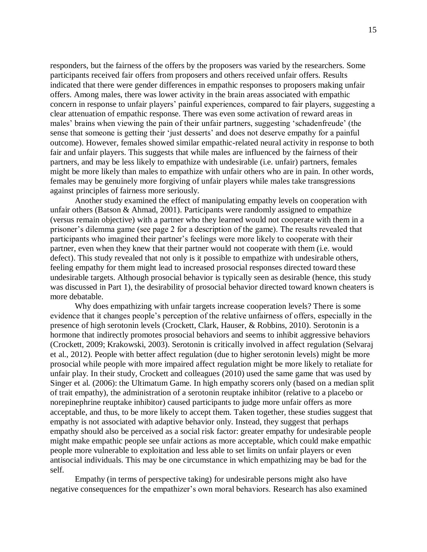responders, but the fairness of the offers by the proposers was varied by the researchers. Some participants received fair offers from proposers and others received unfair offers. Results indicated that there were gender differences in empathic responses to proposers making unfair offers. Among males, there was lower activity in the brain areas associated with empathic concern in response to unfair players' painful experiences, compared to fair players, suggesting a clear attenuation of empathic response. There was even some activation of reward areas in males' brains when viewing the pain of their unfair partners, suggesting 'schadenfreude' (the sense that someone is getting their 'just desserts' and does not deserve empathy for a painful outcome). However, females showed similar empathic-related neural activity in response to both fair and unfair players. This suggests that while males are influenced by the fairness of their partners, and may be less likely to empathize with undesirable (i.e. unfair) partners, females might be more likely than males to empathize with unfair others who are in pain. In other words, females may be genuinely more forgiving of unfair players while males take transgressions against principles of fairness more seriously.

Another study examined the effect of manipulating empathy levels on cooperation with unfair others [\(Batson & Ahmad, 2001\)](#page-28-2). Participants were randomly assigned to empathize (versus remain objective) with a partner who they learned would not cooperate with them in a prisoner's dilemma game (see page 2 for a description of the game). The results revealed that participants who imagined their partner's feelings were more likely to cooperate with their partner, even when they knew that their partner would not cooperate with them (i.e. would defect). This study revealed that not only is it possible to empathize with undesirable others, feeling empathy for them might lead to increased prosocial responses directed toward these undesirable targets. Although prosocial behavior is typically seen as desirable (hence, this study was discussed in Part 1), the desirability of prosocial behavior directed toward known cheaters is more debatable.

Why does empathizing with unfair targets increase cooperation levels? There is some evidence that it changes people's perception of the relative unfairness of offers, especially in the presence of high serotonin levels [\(Crockett, Clark, Hauser, & Robbins, 2010\)](#page-31-11). Serotonin is a hormone that indirectly promotes prosocial behaviors and seems to inhibit aggressive behaviors [\(Crockett, 2009;](#page-31-12) [Krakowski, 2003\)](#page-36-12). Serotonin is critically involved in affect regulation [\(Selvaraj](#page-39-13)  [et al., 2012\)](#page-39-13). People with better affect regulation (due to higher serotonin levels) might be more prosocial while people with more impaired affect regulation might be more likely to retaliate for unfair play. In their study, Crockett and colleagues (2010) used the same game that was used by Singer et al. (2006): the Ultimatum Game. In high empathy scorers only (based on a median split of trait empathy), the administration of a serotonin reuptake inhibitor (relative to a placebo or norepinephrine reuptake inhibitor) caused participants to judge more unfair offers as more acceptable, and thus, to be more likely to accept them. Taken together, these studies suggest that empathy is not associated with adaptive behavior only. Instead, they suggest that perhaps empathy should also be perceived as a social risk factor: greater empathy for undesirable people might make empathic people see unfair actions as more acceptable, which could make empathic people more vulnerable to exploitation and less able to set limits on unfair players or even antisocial individuals. This may be one circumstance in which empathizing may be bad for the self.

Empathy (in terms of perspective taking) for undesirable persons might also have negative consequences for the empathizer's own moral behaviors. Research has also examined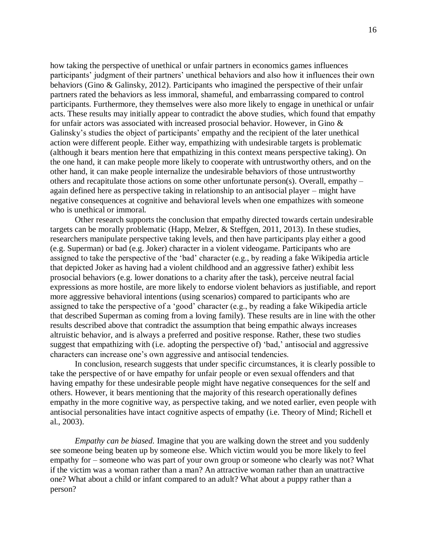how taking the perspective of unethical or unfair partners in economics games influences participants' judgment of their partners' unethical behaviors and also how it influences their own behaviors [\(Gino & Galinsky, 2012\)](#page-33-16). Participants who imagined the perspective of their unfair partners rated the behaviors as less immoral, shameful, and embarrassing compared to control participants. Furthermore, they themselves were also more likely to engage in unethical or unfair acts. These results may initially appear to contradict the above studies, which found that empathy for unfair actors was associated with increased prosocial behavior. However, in Gino & Galinsky's studies the object of participants' empathy and the recipient of the later unethical action were different people. Either way, empathizing with undesirable targets is problematic (although it bears mention here that empathizing in this context means perspective taking). On the one hand, it can make people more likely to cooperate with untrustworthy others, and on the other hand, it can make people internalize the undesirable behaviors of those untrustworthy others and recapitulate those actions on some other unfortunate person(s). Overall, empathy – again defined here as perspective taking in relationship to an antisocial player – might have negative consequences at cognitive and behavioral levels when one empathizes with someone who is unethical or immoral.

Other research supports the conclusion that empathy directed towards certain undesirable targets can be morally problematic [\(Happ, Melzer, & Steffgen, 2011,](#page-34-10) [2013\)](#page-34-11). In these studies, researchers manipulate perspective taking levels, and then have participants play either a good (e.g. Superman) or bad (e.g. Joker) character in a violent videogame. Participants who are assigned to take the perspective of the 'bad' character (e.g., by reading a fake Wikipedia article that depicted Joker as having had a violent childhood and an aggressive father) exhibit less prosocial behaviors (e.g. lower donations to a charity after the task), perceive neutral facial expressions as more hostile, are more likely to endorse violent behaviors as justifiable, and report more aggressive behavioral intentions (using scenarios) compared to participants who are assigned to take the perspective of a 'good' character (e.g., by reading a fake Wikipedia article that described Superman as coming from a loving family). These results are in line with the other results described above that contradict the assumption that being empathic always increases altruistic behavior, and is always a preferred and positive response. Rather, these two studies suggest that empathizing with (i.e. adopting the perspective of) 'bad,' antisocial and aggressive characters can increase one's own aggressive and antisocial tendencies.

In conclusion, research suggests that under specific circumstances, it is clearly possible to take the perspective of or have empathy for unfair people or even sexual offenders and that having empathy for these undesirable people might have negative consequences for the self and others. However, it bears mentioning that the majority of this research operationally defines empathy in the more cognitive way, as perspective taking, and we noted earlier, even people with antisocial personalities have intact cognitive aspects of empathy (i.e. Theory of Mind; Richell et al., 2003).

*Empathy can be biased.* Imagine that you are walking down the street and you suddenly see someone being beaten up by someone else. Which victim would you be more likely to feel empathy for – someone who was part of your own group or someone who clearly was not? What if the victim was a woman rather than a man? An attractive woman rather than an unattractive one? What about a child or infant compared to an adult? What about a puppy rather than a person?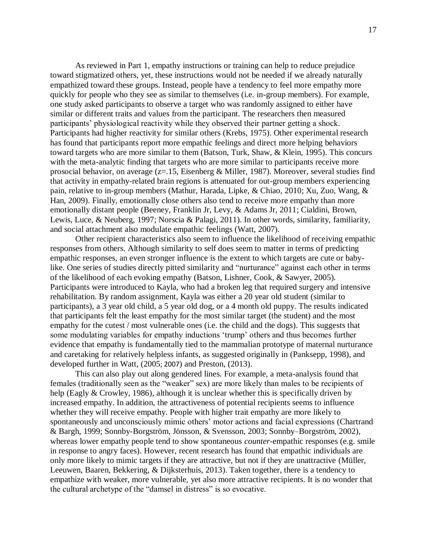As reviewed in Part 1, empathy instructions or training can help to reduce prejudice toward stigmatized others, yet, these instructions would not be needed if we already naturally empathized toward these groups. Instead, people have a tendency to feel more empathy more quickly for people who they see as similar to themselves (i.e. in-group members). For example, one study asked participants to observe a target who was randomly assigned to either have similar or different traits and values from the participant. The researchers then measured participants' physiological reactivity while they observed their partner getting a shock. Participants had higher reactivity for similar others [\(Krebs, 1975\)](#page-36-13). Other experimental research has found that participants report more empathic feelings and direct more helping behaviors toward targets who are more similar to them [\(Batson, Turk, Shaw, & Klein, 1995\)](#page-28-10). This concurs with the meta-analytic finding that targets who are more similar to participants receive more prosocial behavior, on average (z=.15, Eisenberg & Miller, 1987). Moreover, several studies find that activity in empathy-related brain regions is attenuated for out-group members experiencing pain, relative to in-group members [\(Mathur, Harada, Lipke, & Chiao, 2010;](#page-37-11) [Xu, Zuo, Wang, &](#page-42-6)  [Han, 2009\)](#page-42-6). Finally, emotionally close others also tend to receive more empathy than more emotionally distant people [\(Beeney, Franklin Jr, Levy, & Adams Jr, 2011;](#page-29-11) [Cialdini, Brown,](#page-31-13)  [Lewis, Luce, & Neuberg, 1997;](#page-31-13) [Norscia & Palagi, 2011\)](#page-38-15). In other words, similarity, familiarity, and social attachment also modulate empathic feelings (Watt, 2007).

Other recipient characteristics also seem to influence the likelihood of receiving empathic responses from others. Although similarity to self does seem to matter in terms of predicting empathic responses, an even stronger influence is the extent to which targets are cute or babylike. One series of studies directly pitted similarity and "nurturance" against each other in terms of the likelihood of each evoking empathy [\(Batson, Lishner, Cook, & Sawyer, 2005\)](#page-28-11). Participants were introduced to Kayla, who had a broken leg that required surgery and intensive rehabilitation. By random assignment, Kayla was either a 20 year old student (similar to participants), a 3 year old child, a 5 year old dog, or a 4 month old puppy. The results indicated that participants felt the least empathy for the most similar target (the student) and the most empathy for the cutest / most vulnerable ones (i.e. the child and the dogs). This suggests that some modulating variables for empathy inductions 'trump' others and thus becomes further evidence that empathy is fundamentally tied to the mammalian prototype of maternal nurturance and caretaking for relatively helpless infants, as suggested originally in [\(Panksepp, 1998\)](#page-38-0), and developed further in [Watt, \(2005](#page-42-7); 2007) and [Preston, \(2013\)](#page-39-14).

This can also play out along gendered lines. For example, a meta-analysis found that females (traditionally seen as the "weaker" sex) are more likely than males to be recipients of help [\(Eagly & Crowley, 1986\)](#page-32-16), although it is unclear whether this is specifically driven by increased empathy. In addition, the attractiveness of potential recipients seems to influence whether they will receive empathy. People with higher trait empathy are more likely to spontaneously and unconsciously mimic others' motor actions and facial expressions [\(Chartrand](#page-30-10)  [& Bargh, 1999;](#page-30-10) [Sonnby-Borgström, Jönsson, & Svensson, 2003;](#page-40-11) [Sonnby–Borgström, 2002\)](#page-40-12), whereas lower empathy people tend to show spontaneous *counter*-empathic responses (e.g. smile in response to angry faces). However, recent research has found that empathic individuals are only more likely to mimic targets if they are attractive, but not if they are unattractive [\(Müller,](#page-37-12)  [Leeuwen, Baaren, Bekkering, & Dijksterhuis, 2013\)](#page-37-12). Taken together, there is a tendency to empathize with weaker, more vulnerable, yet also more attractive recipients. It is no wonder that the cultural archetype of the "damsel in distress" is so evocative.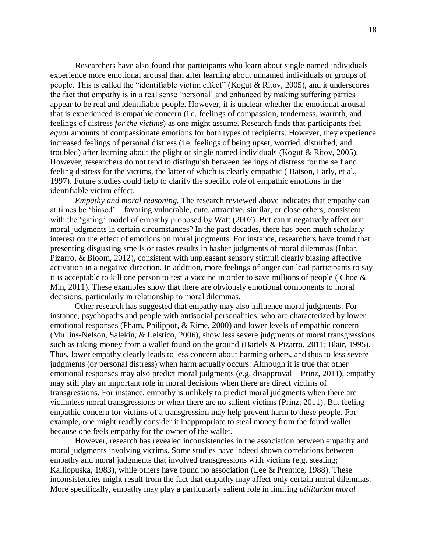Researchers have also found that participants who learn about single named individuals experience more emotional arousal than after learning about unnamed individuals or groups of people. This is called the "identifiable victim effect" [\(Kogut & Ritov, 2005\)](#page-35-14), and it underscores the fact that empathy is in a real sense 'personal' and enhanced by making suffering parties appear to be real and identifiable people. However, it is unclear whether the emotional arousal that is experienced is empathic concern (i.e. feelings of compassion, tenderness, warmth, and feelings of distress *for the victims*) as one might assume. Research finds that participants feel *equal* amounts of compassionate emotions for both types of recipients. However, they experience increased feelings of personal distress (i.e. feelings of being upset, worried, disturbed, and troubled) after learning about the plight of single named individuals [\(Kogut & Ritov, 2005\)](#page-35-14). However, researchers do not tend to distinguish between feelings of distress for the self and feeling distress for the victims, the latter of which is clearly empathic ( [Batson, Early, et al.,](#page-28-8)  [1997\)](#page-28-8). Future studies could help to clarify the specific role of empathic emotions in the identifiable victim effect.

*Empathy and moral reasoning.* The research reviewed above indicates that empathy can at times be 'biased' – favoring vulnerable, cute, attractive, similar, or close others, consistent with the 'gating' model of empathy proposed by Watt [\(2007\)](#page-42-0). But can it negatively affect our moral judgments in certain circumstances? In the past decades, there has been much scholarly interest on the effect of emotions on moral judgments. For instance, researchers have found that presenting disgusting smells or tastes results in hasher judgments of moral dilemmas [\(Inbar,](#page-35-15)  [Pizarro, & Bloom, 2012\)](#page-35-15), consistent with unpleasant sensory stimuli clearly biasing affective activation in a negative direction. In addition, more feelings of anger can lead participants to say it is acceptable to kill one person to test a vaccine in order to save millions of people ( [Choe &](#page-31-14)  [Min, 2011\)](#page-31-14). These examples show that there are obviously emotional components to moral decisions, particularly in relationship to moral dilemmas.

Other research has suggested that empathy may also influence moral judgments. For instance, psychopaths and people with antisocial personalities, who are characterized by lower emotional responses [\(Pham, Philippot, & Rime, 2000\)](#page-38-16) and lower levels of empathic concern [\(Mullins-Nelson, Salekin, & Leistico, 2006\)](#page-37-13), show less severe judgments of moral transgressions such as taking money from a wallet found on the ground [\(Bartels & Pizarro, 2011;](#page-27-13) [Blair, 1995\)](#page-29-12). Thus, lower empathy clearly leads to less concern about harming others, and thus to less severe judgments (or personal distress) when harm actually occurs. Although it is true that other emotional responses may also predict moral judgments (e.g. disapproval – [Prinz, 2011\)](#page-39-15), empathy may still play an important role in moral decisions when there are direct victims of transgressions. For instance, empathy is unlikely to predict moral judgments when there are victimless moral transgressions or when there are no salient victims [\(Prinz, 2011\)](#page-39-15). But feeling empathic concern for victims of a transgression may help prevent harm to these people. For example, one might readily consider it inappropriate to steal money from the found wallet because one feels empathy for the owner of the wallet.

However, research has revealed inconsistencies in the association between empathy and moral judgments involving victims. Some studies have indeed shown correlations between empathy and moral judgments that involved transgressions with victims (e.g. stealing; [Kalliopuska, 1983\)](#page-35-16), while others have found no association [\(Lee & Prentice, 1988\)](#page-36-14). These inconsistencies might result from the fact that empathy may affect only certain moral dilemmas. More specifically, empathy may play a particularly salient role in limiting *utilitarian moral*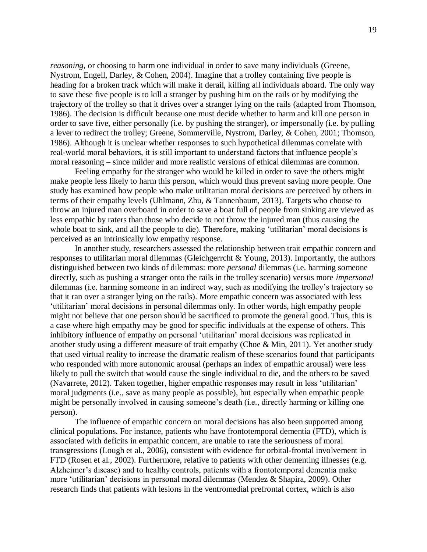*reasoning*, or choosing to harm one individual in order to save many individuals (Greene, [Nystrom, Engell, Darley, & Cohen, 2004\)](#page-34-12). Imagine that a trolley containing five people is heading for a broken track which will make it derail, killing all individuals aboard. The only way to save these five people is to kill a stranger by pushing him on the rails or by modifying the trajectory of the trolley so that it drives over a stranger lying on the rails (adapted from [Thomson,](#page-41-11)  [1986\)](#page-41-11). The decision is difficult because one must decide whether to harm and kill one person in order to save five, either personally (i.e. by pushing the stranger), or impersonally (i.e. by pulling a lever to redirect the trolley; [Greene, Sommerville, Nystrom, Darley, & Cohen, 2001;](#page-34-13) [Thomson,](#page-41-11)  [1986\)](#page-41-11). Although it is unclear whether responses to such hypothetical dilemmas correlate with real-world moral behaviors, it is still important to understand factors that influence people's moral reasoning – since milder and more realistic versions of ethical dilemmas are common.

Feeling empathy for the stranger who would be killed in order to save the others might make people less likely to harm this person, which would thus prevent saving more people. One study has examined how people who make utilitarian moral decisions are perceived by others in terms of their empathy levels [\(Uhlmann, Zhu, & Tannenbaum, 2013\)](#page-41-12). Targets who choose to throw an injured man overboard in order to save a boat full of people from sinking are viewed as less empathic by raters than those who decide to not throw the injured man (thus causing the whole boat to sink, and all the people to die). Therefore, making 'utilitarian' moral decisions is perceived as an intrinsically low empathy response.

In another study, researchers assessed the relationship between trait empathic concern and responses to utilitarian moral dilemmas [\(Gleichgerrcht & Young, 2013\)](#page-33-17). Importantly, the authors distinguished between two kinds of dilemmas: more *personal* dilemmas (i.e. harming someone directly, such as pushing a stranger onto the rails in the trolley scenario) versus more *impersonal* dilemmas (i.e. harming someone in an indirect way, such as modifying the trolley's trajectory so that it ran over a stranger lying on the rails). More empathic concern was associated with less 'utilitarian' moral decisions in personal dilemmas only. In other words, high empathy people might not believe that one person should be sacrificed to promote the general good. Thus, this is a case where high empathy may be good for specific individuals at the expense of others. This inhibitory influence of empathy on personal 'utilitarian' moral decisions was replicated in another study using a different measure of trait empathy [\(Choe & Min, 2011\)](#page-31-15). Yet another study that used virtual reality to increase the dramatic realism of these scenarios found that participants who responded with more autonomic arousal (perhaps an index of empathic arousal) were less likely to pull the switch that would cause the single individual to die, and the others to be saved (Navarrete, 2012). Taken together, higher empathic responses may result in less 'utilitarian' moral judgments (i.e., save as many people as possible), but especially when empathic people might be personally involved in causing someone's death (i.e., directly harming or killing one person).

The influence of empathic concern on moral decisions has also been supported among clinical populations. For instance, patients who have frontotemporal dementia (FTD), which is associated with deficits in empathic concern, are unable to rate the seriousness of moral transgressions [\(Lough et al., 2006\)](#page-37-14), consistent with evidence for orbital-frontal involvement in FTD [\(Rosen et al., 2002\)](#page-39-16). Furthermore, relative to patients with other dementing illnesses (e.g. Alzheimer's disease) and to healthy controls, patients with a frontotemporal dementia make more 'utilitarian' decisions in personal moral dilemmas [\(Mendez & Shapira, 2009\)](#page-37-15). Other research finds that patients with lesions in the ventromedial prefrontal cortex, which is also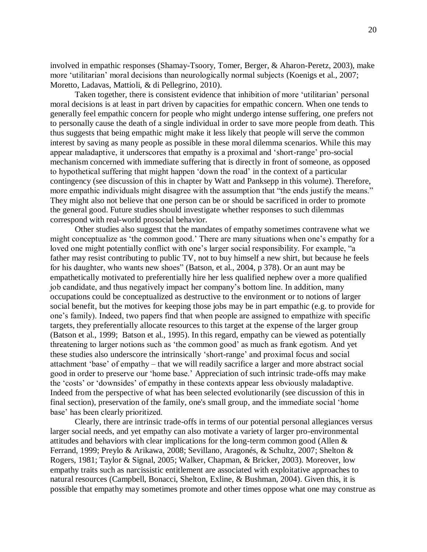involved in empathic responses [\(Shamay-Tsoory, Tomer, Berger, & Aharon-Peretz, 2003\)](#page-40-13), make more 'utilitarian' moral decisions than neurologically normal subjects [\(Koenigs et al., 2007;](#page-35-17) [Moretto, Ladavas, Mattioli, & di Pellegrino, 2010\)](#page-37-16).

Taken together, there is consistent evidence that inhibition of more 'utilitarian' personal moral decisions is at least in part driven by capacities for empathic concern. When one tends to generally feel empathic concern for people who might undergo intense suffering, one prefers not to personally cause the death of a single individual in order to save more people from death. This thus suggests that being empathic might make it less likely that people will serve the common interest by saving as many people as possible in these moral dilemma scenarios. While this may appear maladaptive, it underscores that empathy is a proximal and 'short-range' pro-social mechanism concerned with immediate suffering that is directly in front of someone, as opposed to hypothetical suffering that might happen 'down the road' in the context of a particular contingency (see discussion of this in chapter by Watt and Panksepp in this volume). Therefore, more empathic individuals might disagree with the assumption that "the ends justify the means." They might also not believe that one person can be or should be sacrificed in order to promote the general good. Future studies should investigate whether responses to such dilemmas correspond with real-world prosocial behavior.

Other studies also suggest that the mandates of empathy sometimes contravene what we might conceptualize as 'the common good.' There are many situations when one's empathy for a loved one might potentially conflict with one's larger social responsibility. For example, "a father may resist contributing to public TV, not to buy himself a new shirt, but because he feels for his daughter, who wants new shoes" [\(Batson, et al., 2004,](#page-28-0) p 378). Or an aunt may be empathetically motivated to preferentially hire her less qualified nephew over a more qualified job candidate, and thus negatively impact her company's bottom line. In addition, many occupations could be conceptualized as destructive to the environment or to notions of larger social benefit, but the motives for keeping those jobs may be in part empathic (e.g. to provide for one's family). Indeed, two papers find that when people are assigned to empathize with specific targets, they preferentially allocate resources to this target at the expense of the larger group [\(Batson et al., 1999;](#page-28-12) [Batson et al., 1995\)](#page-28-13). In this regard, empathy can be viewed as potentially threatening to larger notions such as 'the common good' as much as frank egotism. And yet these studies also underscore the intrinsically 'short-range' and proximal focus and social attachment 'base' of empathy – that we will readily sacrifice a larger and more abstract social good in order to preserve our 'home base.' Appreciation of such intrinsic trade-offs may make the 'costs' or 'downsides' of empathy in these contexts appear less obviously maladaptive. Indeed from the perspective of what has been selected evolutionarily (see discussion of this in final section), preservation of the family, one's small group, and the immediate social 'home base' has been clearly prioritized.

Clearly, there are intrinsic trade-offs in terms of our potential personal allegiances versus larger social needs, and yet empathy can also motivate a variety of larger pro-environmental attitudes and behaviors with clear implications for the long-term common good [\(Allen &](#page-27-14)  [Ferrand, 1999;](#page-27-14) [Preylo & Arikawa, 2008;](#page-39-17) [Sevillano, Aragonés, & Schultz, 2007;](#page-40-14) [Shelton &](#page-40-15)  [Rogers, 1981;](#page-40-15) [Taylor & Signal, 2005;](#page-41-13) [Walker, Chapman, & Bricker, 2003\)](#page-42-8). Moreover, low empathy traits such as narcissistic entitlement are associated with exploitative approaches to natural resources [\(Campbell, Bonacci, Shelton, Exline, & Bushman, 2004\)](#page-30-11). Given this, it is possible that empathy may sometimes promote and other times oppose what one may construe as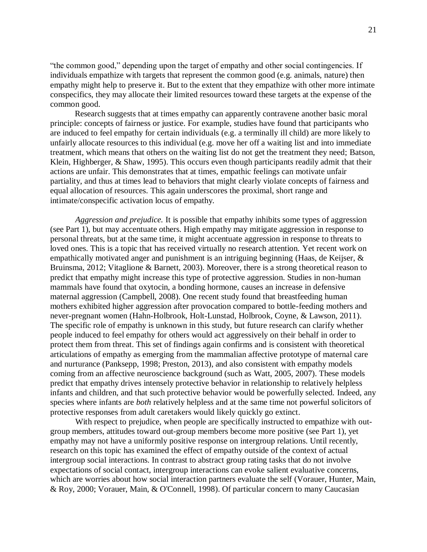"the common good," depending upon the target of empathy and other social contingencies. If individuals empathize with targets that represent the common good (e.g. animals, nature) then empathy might help to preserve it. But to the extent that they empathize with other more intimate conspecifics, they may allocate their limited resources toward these targets at the expense of the common good.

Research suggests that at times empathy can apparently contravene another basic moral principle: concepts of fairness or justice. For example, studies have found that participants who are induced to feel empathy for certain individuals (e.g. a terminally ill child) are more likely to unfairly allocate resources to this individual (e.g. move her off a waiting list and into immediate treatment, which means that others on the waiting list do not get the treatment they need; [Batson,](#page-28-14)  [Klein, Highberger, & Shaw, 1995\)](#page-28-14). This occurs even though participants readily admit that their actions are unfair. This demonstrates that at times, empathic feelings can motivate unfair partiality, and thus at times lead to behaviors that might clearly violate concepts of fairness and equal allocation of resources. This again underscores the proximal, short range and intimate/conspecific activation locus of empathy.

*Aggression and prejudice.* It is possible that empathy inhibits some types of aggression (see Part 1), but may accentuate others. High empathy may mitigate aggression in response to personal threats, but at the same time, it might accentuate aggression in response to threats to loved ones. This is a topic that has received virtually no research attention. Yet recent work on empathically motivated anger and punishment is an intriguing beginning [\(Haas, de Keijser, &](#page-34-14)  [Bruinsma, 2012;](#page-34-14) [Vitaglione & Barnett, 2003\)](#page-42-9). Moreover, there is a strong theoretical reason to predict that empathy might increase this type of protective aggression. Studies in non-human mammals have found that oxytocin, a bonding hormone, causes an increase in defensive maternal aggression [\(Campbell, 2008\)](#page-30-12). One recent study found that breastfeeding human mothers exhibited higher aggression after provocation compared to bottle-feeding mothers and never-pregnant women [\(Hahn-Holbrook, Holt-Lunstad, Holbrook, Coyne, & Lawson, 2011\)](#page-34-15). The specific role of empathy is unknown in this study, but future research can clarify whether people induced to feel empathy for others would act aggressively on their behalf in order to protect them from threat. This set of findings again confirms and is consistent with theoretical articulations of empathy as emerging from the mammalian affective prototype of maternal care and nurturance [\(Panksepp, 1998;](#page-38-0) Preston, 2013), and also consistent with empathy models coming from an affective neuroscience background (such as [Watt, 2005,](#page-42-7) [2007\)](#page-42-0). These models predict that empathy drives intensely protective behavior in relationship to relatively helpless infants and children, and that such protective behavior would be powerfully selected. Indeed, any species where infants are *both* relatively helpless and at the same time not powerful solicitors of protective responses from adult caretakers would likely quickly go extinct.

With respect to prejudice, when people are specifically instructed to empathize with outgroup members, attitudes toward out-group members become more positive (see Part 1), yet empathy may not have a uniformly positive response on intergroup relations. Until recently, research on this topic has examined the effect of empathy outside of the context of actual intergroup social interactions. In contrast to abstract group rating tasks that do not involve expectations of social contact, intergroup interactions can evoke salient evaluative concerns, which are worries about how social interaction partners evaluate the self [\(Vorauer, Hunter, Main,](#page-42-10)  [& Roy, 2000;](#page-42-10) [Vorauer, Main, & O'Connell, 1998\)](#page-42-11). Of particular concern to many Caucasian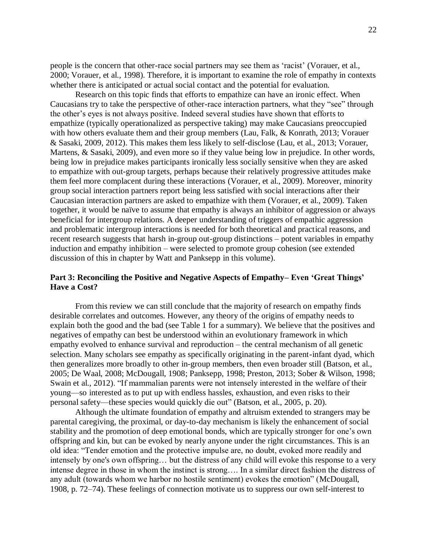people is the concern that other-race social partners may see them as 'racist' [\(Vorauer, et al.,](#page-42-10)  [2000;](#page-42-10) [Vorauer, et al., 1998\)](#page-42-11). Therefore, it is important to examine the role of empathy in contexts whether there is anticipated or actual social contact and the potential for evaluation.

Research on this topic finds that efforts to empathize can have an ironic effect. When Caucasians try to take the perspective of other-race interaction partners, what they "see" through the other's eyes is not always positive. Indeed several studies have shown that efforts to empathize (typically operationalized as perspective taking) may make Caucasians preoccupied with how others evaluate them and their group members [\(Lau, Falk, & Konrath, 2013;](#page-36-15) Vorauer [& Sasaki, 2009,](#page-42-12) [2012\)](#page-42-13). This makes them less likely to self-disclose [\(Lau, et al., 2013;](#page-36-15) [Vorauer,](#page-42-14)  [Martens, & Sasaki, 2009\)](#page-42-14), and even more so if they value being low in prejudice. In other words, being low in prejudice makes participants ironically less socially sensitive when they are asked to empathize with out-group targets, perhaps because their relatively progressive attitudes make them feel more complacent during these interactions [\(Vorauer, et al., 2009\)](#page-42-14). Moreover, minority group social interaction partners report being less satisfied with social interactions after their Caucasian interaction partners are asked to empathize with them [\(Vorauer, et al., 2009\)](#page-42-14). Taken together, it would be naïve to assume that empathy is always an inhibitor of aggression or always beneficial for intergroup relations. A deeper understanding of triggers of empathic aggression and problematic intergroup interactions is needed for both theoretical and practical reasons, and recent research suggests that harsh in-group out-group distinctions – potent variables in empathy induction and empathy inhibition – were selected to promote group cohesion (see extended discussion of this in chapter by Watt and Panksepp in this volume).

# **Part 3: Reconciling the Positive and Negative Aspects of Empathy– Even 'Great Things' Have a Cost?**

From this review we can still conclude that the majority of research on empathy finds desirable correlates and outcomes. However, any theory of the origins of empathy needs to explain both the good and the bad (see Table 1 for a summary). We believe that the positives and negatives of empathy can best be understood within an evolutionary framework in which empathy evolved to enhance survival and reproduction – the central mechanism of all genetic selection. Many scholars see empathy as specifically originating in the parent-infant dyad, which then generalizes more broadly to other in-group members, then even broader still [\(Batson, et al.,](#page-28-11)  [2005;](#page-28-11) [De Waal, 2008;](#page-31-16) [McDougall, 1908;](#page-37-17) Panksepp, 1998; Preston, 2013; [Sober & Wilson, 1998;](#page-40-16) [Swain et al., 2012\)](#page-41-14). "If mammalian parents were not intensely interested in the welfare of their young—so interested as to put up with endless hassles, exhaustion, and even risks to their personal safety—these species would quickly die out" [\(Batson, et al., 2005,](#page-28-11) p. 20).

Although the ultimate foundation of empathy and altruism extended to strangers may be parental caregiving, the proximal, or day-to-day mechanism is likely the enhancement of social stability and the promotion of deep emotional bonds, which are typically stronger for one's own offspring and kin, but can be evoked by nearly anyone under the right circumstances. This is an old idea: "Tender emotion and the protective impulse are, no doubt, evoked more readily and intensely by one's own offspring… but the distress of any child will evoke this response to a very intense degree in those in whom the instinct is strong…. In a similar direct fashion the distress of any adult (towards whom we harbor no hostile sentiment) evokes the emotion" [\(McDougall,](http://www.ncbi.nlm.nih.gov/pmc/articles/PMC3437260/#R34)  [1908,](http://www.ncbi.nlm.nih.gov/pmc/articles/PMC3437260/#R34) p. 72–74). These feelings of connection motivate us to suppress our own self-interest to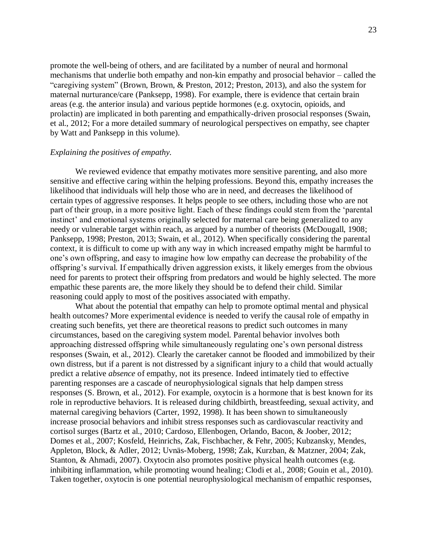promote the well-being of others, and are facilitated by a number of neural and hormonal mechanisms that underlie both empathy and non-kin empathy and prosocial behavior – called the "caregiving system" [\(Brown, Brown, & Preston, 2012;](#page-29-13) [Preston, 2013\)](#page-39-14), and also the system for maternal nurturance/care [\(Panksepp, 1998\)](#page-38-0). For example, there is evidence that certain brain areas (e.g. the anterior insula) and various peptide hormones (e.g. oxytocin, opioids, and prolactin) are implicated in both parenting and empathically-driven prosocial responses [\(Swain,](#page-41-14)  [et al., 2012;](#page-41-14) For a more detailed summary of neurological perspectives on empathy, see chapter by Watt and Panksepp in this volume).

#### *Explaining the positives of empathy.*

We reviewed evidence that empathy motivates more sensitive parenting, and also more sensitive and effective caring within the helping professions. Beyond this, empathy increases the likelihood that individuals will help those who are in need, and decreases the likelihood of certain types of aggressive responses. It helps people to see others, including those who are not part of their group, in a more positive light. Each of these findings could stem from the 'parental instinct' and emotional systems originally selected for maternal care being generalized to any needy or vulnerable target within reach, as argued by a number of theorists [\(McDougall, 1908;](#page-37-17) [Panksepp, 1998;](#page-38-0) [Preston, 2013;](#page-39-14) [Swain, et al., 2012\)](#page-41-14). When specifically considering the parental context, it is difficult to come up with any way in which increased empathy might be harmful to one's own offspring, and easy to imagine how low empathy can decrease the probability of the offspring's survival. If empathically driven aggression exists, it likely emerges from the obvious need for parents to protect their offspring from predators and would be highly selected. The more empathic these parents are, the more likely they should be to defend their child. Similar reasoning could apply to most of the positives associated with empathy.

What about the potential that empathy can help to promote optimal mental and physical health outcomes? More experimental evidence is needed to verify the causal role of empathy in creating such benefits, yet there are theoretical reasons to predict such outcomes in many circumstances, based on the caregiving system model. Parental behavior involves both approaching distressed offspring while simultaneously regulating one's own personal distress responses [\(Swain, et al., 2012\)](#page-41-14). Clearly the caretaker cannot be flooded and immobilized by their own distress, but if a parent is not distressed by a significant injury to a child that would actually predict a relative *absence* of empathy, not its presence. Indeed intimately tied to effective parenting responses are a cascade of neurophysiological signals that help dampen stress responses [\(S. Brown, et al., 2012\)](#page-29-13). For example, oxytocin is a hormone that is best known for its role in reproductive behaviors. It is released during childbirth, breastfeeding, sexual activity, and maternal caregiving behaviors [\(Carter, 1992,](#page-30-13) [1998\)](#page-30-14). It has been shown to simultaneously increase prosocial behaviors and inhibit stress responses such as cardiovascular reactivity and cortisol surges [\(Bartz et al., 2010;](#page-27-15) [Cardoso, Ellenbogen, Orlando, Bacon, & Joober, 2012;](#page-30-15) [Domes et al., 2007;](#page-32-17) [Kosfeld, Heinrichs, Zak, Fischbacher, & Fehr, 2005;](#page-36-16) [Kubzansky, Mendes,](#page-36-17)  [Appleton, Block, & Adler, 2012;](#page-36-17) [Uvnäs-Moberg, 1998;](#page-41-15) [Zak, Kurzban, & Matzner, 2004;](#page-42-15) [Zak,](#page-42-16)  [Stanton, & Ahmadi, 2007\)](#page-42-16). Oxytocin also promotes positive physical health outcomes (e.g. inhibiting inflammation, while promoting wound healing; [Clodi et al., 2008;](#page-31-17) [Gouin et al., 2010\)](#page-34-16). Taken together, oxytocin is one potential neurophysiological mechanism of empathic responses,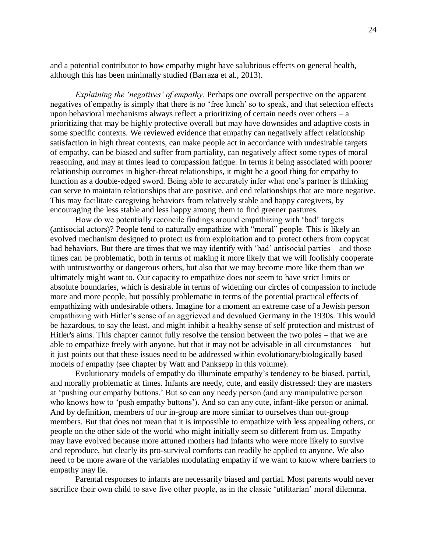and a potential contributor to how empathy might have salubrious effects on general health, although this has been minimally studied [\(Barraza et al., 2013\)](#page-27-16).

*Explaining the 'negatives' of empathy.* Perhaps one overall perspective on the apparent negatives of empathy is simply that there is no 'free lunch' so to speak, and that selection effects upon behavioral mechanisms always reflect a prioritizing of certain needs over others  $-$  a prioritizing that may be highly protective overall but may have downsides and adaptive costs in some specific contexts. We reviewed evidence that empathy can negatively affect relationship satisfaction in high threat contexts, can make people act in accordance with undesirable targets of empathy, can be biased and suffer from partiality, can negatively affect some types of moral reasoning, and may at times lead to compassion fatigue. In terms it being associated with poorer relationship outcomes in higher-threat relationships, it might be a good thing for empathy to function as a double-edged sword. Being able to accurately infer what one's partner is thinking can serve to maintain relationships that are positive, and end relationships that are more negative. This may facilitate caregiving behaviors from relatively stable and happy caregivers, by encouraging the less stable and less happy among them to find greener pastures.

How do we potentially reconcile findings around empathizing with 'bad' targets (antisocial actors)? People tend to naturally empathize with "moral" people. This is likely an evolved mechanism designed to protect us from exploitation and to protect others from copycat bad behaviors. But there are times that we may identify with 'bad' antisocial parties – and those times can be problematic, both in terms of making it more likely that we will foolishly cooperate with untrustworthy or dangerous others, but also that we may become more like them than we ultimately might want to. Our capacity to empathize does not seem to have strict limits or absolute boundaries, which is desirable in terms of widening our circles of compassion to include more and more people, but possibly problematic in terms of the potential practical effects of empathizing with undesirable others. Imagine for a moment an extreme case of a Jewish person empathizing with Hitler's sense of an aggrieved and devalued Germany in the 1930s. This would be hazardous, to say the least, and might inhibit a healthy sense of self protection and mistrust of Hitler's aims. This chapter cannot fully resolve the tension between the two poles – that we are able to empathize freely with anyone, but that it may not be advisable in all circumstances – but it just points out that these issues need to be addressed within evolutionary/biologically based models of empathy (see chapter by Watt and Panksepp in this volume).

Evolutionary models of empathy do illuminate empathy's tendency to be biased, partial, and morally problematic at times. Infants are needy, cute, and easily distressed: they are masters at 'pushing our empathy buttons.' But so can any needy person (and any manipulative person who knows how to 'push empathy buttons'). And so can any cute, infant-like person or animal. And by definition, members of our in-group are more similar to ourselves than out-group members. But that does not mean that it is impossible to empathize with less appealing others, or people on the other side of the world who might initially seem so different from us. Empathy may have evolved because more attuned mothers had infants who were more likely to survive and reproduce, but clearly its pro-survival comforts can readily be applied to anyone. We also need to be more aware of the variables modulating empathy if we want to know where barriers to empathy may lie.

Parental responses to infants are necessarily biased and partial. Most parents would never sacrifice their own child to save five other people, as in the classic 'utilitarian' moral dilemma.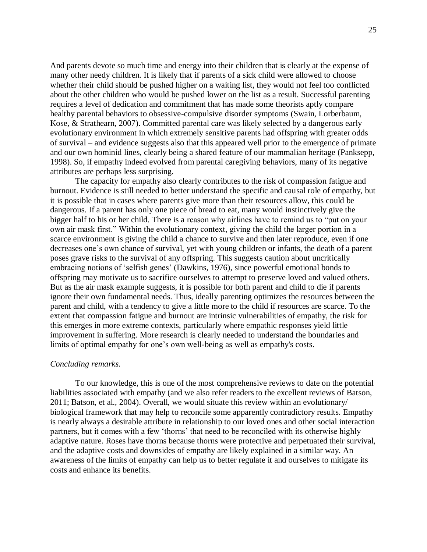And parents devote so much time and energy into their children that is clearly at the expense of many other needy children. It is likely that if parents of a sick child were allowed to choose whether their child should be pushed higher on a waiting list, they would not feel too conflicted about the other children who would be pushed lower on the list as a result. Successful parenting requires a level of dedication and commitment that has made some theorists aptly compare healthy parental behaviors to obsessive-compulsive disorder symptoms [\(Swain, Lorberbaum,](#page-41-16)  [Kose, & Strathearn, 2007\)](#page-41-16). Committed parental care was likely selected by a dangerous early evolutionary environment in which extremely sensitive parents had offspring with greater odds of survival – and evidence suggests also that this appeared well prior to the emergence of primate and our own hominid lines, clearly being a shared feature of our mammalian heritage [\(Panksepp,](#page-38-0)  [1998\)](#page-38-0). So, if empathy indeed evolved from parental caregiving behaviors, many of its negative attributes are perhaps less surprising.

The capacity for empathy also clearly contributes to the risk of compassion fatigue and burnout. Evidence is still needed to better understand the specific and causal role of empathy, but it is possible that in cases where parents give more than their resources allow, this could be dangerous. If a parent has only one piece of bread to eat, many would instinctively give the bigger half to his or her child. There is a reason why airlines have to remind us to "put on your own air mask first." Within the evolutionary context, giving the child the larger portion in a scarce environment is giving the child a chance to survive and then later reproduce, even if one decreases one's own chance of survival, yet with young children or infants, the death of a parent poses grave risks to the survival of any offspring. This suggests caution about uncritically embracing notions of 'selfish genes' [\(Dawkins, 1976\)](#page-31-6), since powerful emotional bonds to offspring may motivate us to sacrifice ourselves to attempt to preserve loved and valued others. But as the air mask example suggests, it is possible for both parent and child to die if parents ignore their own fundamental needs. Thus, ideally parenting optimizes the resources between the parent and child, with a tendency to give a little more to the child if resources are scarce. To the extent that compassion fatigue and burnout are intrinsic vulnerabilities of empathy, the risk for this emerges in more extreme contexts, particularly where empathic responses yield little improvement in suffering. More research is clearly needed to understand the boundaries and limits of optimal empathy for one's own well-being as well as empathy's costs.

## *Concluding remarks.*

To our knowledge, this is one of the most comprehensive reviews to date on the potential liabilities associated with empathy (and we also refer readers to the excellent reviews of [Batson,](#page-27-1)  [2011;](#page-27-1) [Batson, et al., 2004\)](#page-28-0). Overall, we would situate this review within an evolutionary/ biological framework that may help to reconcile some apparently contradictory results. Empathy is nearly always a desirable attribute in relationship to our loved ones and other social interaction partners, but it comes with a few 'thorns' that need to be reconciled with its otherwise highly adaptive nature. Roses have thorns because thorns were protective and perpetuated their survival, and the adaptive costs and downsides of empathy are likely explained in a similar way. An awareness of the limits of empathy can help us to better regulate it and ourselves to mitigate its costs and enhance its benefits.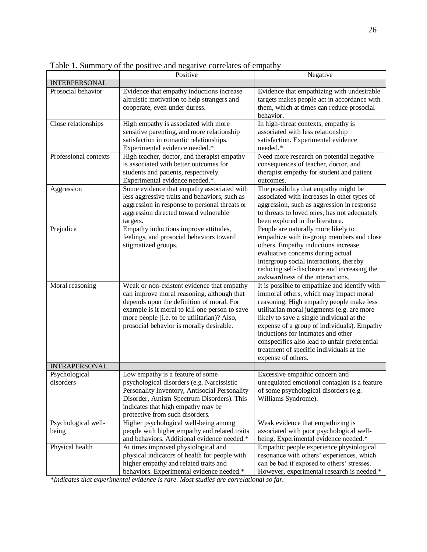|                              | Positive                                                                                                                                                                                                                                                                           | Negative                                                                                                                                                                                                                                                                                                                                                                                                                               |
|------------------------------|------------------------------------------------------------------------------------------------------------------------------------------------------------------------------------------------------------------------------------------------------------------------------------|----------------------------------------------------------------------------------------------------------------------------------------------------------------------------------------------------------------------------------------------------------------------------------------------------------------------------------------------------------------------------------------------------------------------------------------|
| <b>INTERPERSONAL</b>         |                                                                                                                                                                                                                                                                                    |                                                                                                                                                                                                                                                                                                                                                                                                                                        |
| Prosocial behavior           | Evidence that empathy inductions increase<br>altruistic motivation to help strangers and<br>cooperate, even under duress.                                                                                                                                                          | Evidence that empathizing with undesirable<br>targets makes people act in accordance with<br>them, which at times can reduce prosocial<br>behavior.                                                                                                                                                                                                                                                                                    |
| Close relationships          | High empathy is associated with more<br>sensitive parenting, and more relationship<br>satisfaction in romantic relationships.<br>Experimental evidence needed.*                                                                                                                    | In high-threat contexts, empathy is<br>associated with less relationship<br>satisfaction. Experimental evidence<br>needed.*                                                                                                                                                                                                                                                                                                            |
| Professional contexts        | High teacher, doctor, and therapist empathy<br>is associated with better outcomes for<br>students and patients, respectively.<br>Experimental evidence needed.*                                                                                                                    | Need more research on potential negative<br>consequences of teacher, doctor, and<br>therapist empathy for student and patient<br>outcomes.                                                                                                                                                                                                                                                                                             |
| Aggression                   | Some evidence that empathy associated with<br>less aggressive traits and behaviors, such as<br>aggression in response to personal threats or<br>aggression directed toward vulnerable<br>targets.                                                                                  | The possibility that empathy might be<br>associated with increases in other types of<br>aggression, such as aggression in response<br>to threats to loved ones, has not adequately<br>been explored in the literature.                                                                                                                                                                                                                 |
| Prejudice                    | Empathy inductions improve attitudes,<br>feelings, and prosocial behaviors toward<br>stigmatized groups.                                                                                                                                                                           | People are naturally more likely to<br>empathize with in-group members and close<br>others. Empathy inductions increase<br>evaluative concerns during actual<br>intergroup social interactions, thereby<br>reducing self-disclosure and increasing the<br>awkwardness of the interactions.                                                                                                                                             |
| Moral reasoning              | Weak or non-existent evidence that empathy<br>can improve moral reasoning, although that<br>depends upon the definition of moral. For<br>example is it moral to kill one person to save<br>more people (i.e. to be utilitarian)? Also,<br>prosocial behavior is morally desirable. | It is possible to empathize and identify with<br>immoral others, which may impact moral<br>reasoning. High empathy people make less<br>utilitarian moral judgments (e.g. are more<br>likely to save a single individual at the<br>expense of a group of individuals). Empathy<br>inductions for intimates and other<br>conspecifics also lead to unfair preferential<br>treatment of specific individuals at the<br>expense of others. |
| <b>INTRAPERSONAL</b>         |                                                                                                                                                                                                                                                                                    |                                                                                                                                                                                                                                                                                                                                                                                                                                        |
| Psychological<br>disorders   | Low empathy is a feature of some<br>psychological disorders (e.g. Narcissistic<br>Personality Inventory, Antisocial Personality<br>Disorder, Autism Spectrum Disorders). This<br>indicates that high empathy may be<br>protective from such disorders.                             | Excessive empathic concern and<br>unregulated emotional contagion is a feature<br>of some psychological disorders (e.g.<br>Williams Syndrome).                                                                                                                                                                                                                                                                                         |
| Psychological well-<br>being | Higher psychological well-being among<br>people with higher empathy and related traits<br>and behaviors. Additional evidence needed.*                                                                                                                                              | Weak evidence that empathizing is<br>associated with poor psychological well-<br>being. Experimental evidence needed.*                                                                                                                                                                                                                                                                                                                 |
| Physical health              | At times improved physiological and<br>physical indicators of health for people with<br>higher empathy and related traits and<br>behaviors. Experimental evidence needed.*                                                                                                         | Empathic people experience physiological<br>resonance with others' experiences, which<br>can be bad if exposed to others' stresses.<br>However, experimental research is needed.*                                                                                                                                                                                                                                                      |

Table 1. Summary of the positive and negative correlates of empathy

*\*Indicates that experimental evidence is rare. Most studies are correlational so far.*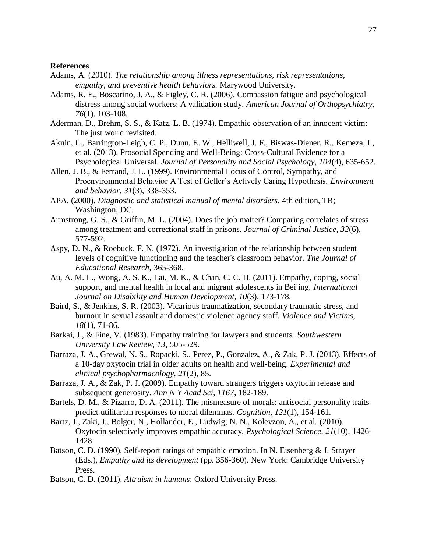## **References**

- <span id="page-27-5"></span>Adams, A. (2010). *The relationship among illness representations, risk representations, empathy, and preventive health behaviors.* Marywood University.
- <span id="page-27-8"></span>Adams, R. E., Boscarino, J. A., & Figley, C. R. (2006). Compassion fatigue and psychological distress among social workers: A validation study. *American Journal of Orthopsychiatry, 76*(1), 103-108.
- <span id="page-27-3"></span>Aderman, D., Brehm, S. S., & Katz, L. B. (1974). Empathic observation of an innocent victim: The just world revisited.
- <span id="page-27-7"></span>Aknin, L., Barrington-Leigh, C. P., Dunn, E. W., Helliwell, J. F., Biswas-Diener, R., Kemeza, I., et al. (2013). Prosocial Spending and Well-Being: Cross-Cultural Evidence for a Psychological Universal. *Journal of Personality and Social Psychology, 104*(4), 635-652.
- <span id="page-27-14"></span>Allen, J. B., & Ferrand, J. L. (1999). Environmental Locus of Control, Sympathy, and Proenvironmental Behavior A Test of Geller's Actively Caring Hypothesis. *Environment and behavior, 31*(3), 338-353.
- <span id="page-27-4"></span>APA. (2000). *Diagnostic and statistical manual of mental disorders*. 4th edition, TR; Washington, DC.
- <span id="page-27-10"></span>Armstrong, G. S., & Griffin, M. L. (2004). Does the job matter? Comparing correlates of stress among treatment and correctional staff in prisons. *Journal of Criminal Justice, 32*(6), 577-592.
- <span id="page-27-2"></span>Aspy, D. N., & Roebuck, F. N. (1972). An investigation of the relationship between student levels of cognitive functioning and the teacher's classroom behavior. *The Journal of Educational Research*, 365-368.
- <span id="page-27-6"></span>Au, A. M. L., Wong, A. S. K., Lai, M. K., & Chan, C. C. H. (2011). Empathy, coping, social support, and mental health in local and migrant adolescents in Beijing. *International Journal on Disability and Human Development, 10*(3), 173-178.
- <span id="page-27-9"></span>Baird, S., & Jenkins, S. R. (2003). Vicarious traumatization, secondary traumatic stress, and burnout in sexual assault and domestic violence agency staff. *Violence and Victims, 18*(1), 71-86.
- <span id="page-27-11"></span>Barkai, J., & Fine, V. (1983). Empathy training for lawyers and students. *Southwestern University Law Review, 13*, 505-529.
- <span id="page-27-16"></span>Barraza, J. A., Grewal, N. S., Ropacki, S., Perez, P., Gonzalez, A., & Zak, P. J. (2013). Effects of a 10-day oxytocin trial in older adults on health and well-being. *Experimental and clinical psychopharmacology, 21*(2), 85.
- <span id="page-27-12"></span>Barraza, J. A., & Zak, P. J. (2009). Empathy toward strangers triggers oxytocin release and subsequent generosity. *Ann N Y Acad Sci, 1167*, 182-189.
- <span id="page-27-13"></span>Bartels, D. M., & Pizarro, D. A. (2011). The mismeasure of morals: antisocial personality traits predict utilitarian responses to moral dilemmas. *Cognition, 121*(1), 154-161.
- <span id="page-27-15"></span>Bartz, J., Zaki, J., Bolger, N., Hollander, E., Ludwig, N. N., Kolevzon, A., et al. (2010). Oxytocin selectively improves empathic accuracy. *Psychological Science, 21*(10), 1426- 1428.
- <span id="page-27-0"></span>Batson, C. D. (1990). Self-report ratings of empathic emotion. In N. Eisenberg & J. Strayer (Eds.), *Empathy and its development* (pp. 356-360). New York: Cambridge University Press.
- <span id="page-27-1"></span>Batson, C. D. (2011). *Altruism in humans*: Oxford University Press.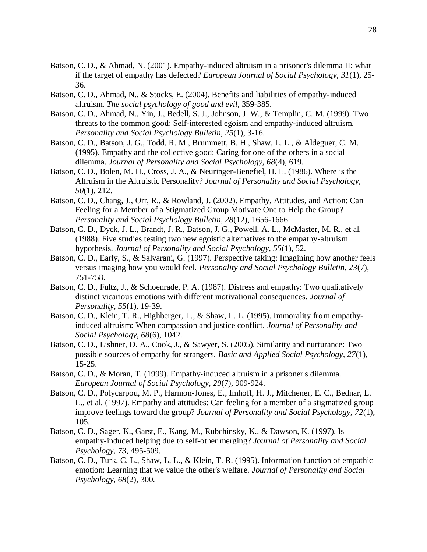- <span id="page-28-2"></span>Batson, C. D., & Ahmad, N. (2001). Empathy-induced altruism in a prisoner's dilemma II: what if the target of empathy has defected? *European Journal of Social Psychology, 31*(1), 25- 36.
- <span id="page-28-0"></span>Batson, C. D., Ahmad, N., & Stocks, E. (2004). Benefits and liabilities of empathy-induced altruism. *The social psychology of good and evil*, 359-385.
- <span id="page-28-12"></span>Batson, C. D., Ahmad, N., Yin, J., Bedell, S. J., Johnson, J. W., & Templin, C. M. (1999). Two threats to the common good: Self-interested egoism and empathy-induced altruism. *Personality and Social Psychology Bulletin, 25*(1), 3-16.
- <span id="page-28-13"></span>Batson, C. D., Batson, J. G., Todd, R. M., Brummett, B. H., Shaw, L. L., & Aldeguer, C. M. (1995). Empathy and the collective good: Caring for one of the others in a social dilemma. *Journal of Personality and Social Psychology, 68*(4), 619.
- <span id="page-28-4"></span>Batson, C. D., Bolen, M. H., Cross, J. A., & Neuringer-Benefiel, H. E. (1986). Where is the Altruism in the Altruistic Personality? *Journal of Personality and Social Psychology, 50*(1), 212.
- <span id="page-28-5"></span>Batson, C. D., Chang, J., Orr, R., & Rowland, J. (2002). Empathy, Attitudes, and Action: Can Feeling for a Member of a Stigmatized Group Motivate One to Help the Group? *Personality and Social Psychology Bulletin, 28*(12), 1656-1666.
- <span id="page-28-1"></span>Batson, C. D., Dyck, J. L., Brandt, J. R., Batson, J. G., Powell, A. L., McMaster, M. R., et al. (1988). Five studies testing two new egoistic alternatives to the empathy-altruism hypothesis. *Journal of Personality and Social Psychology, 55*(1), 52.
- <span id="page-28-8"></span>Batson, C. D., Early, S., & Salvarani, G. (1997). Perspective taking: Imagining how another feels versus imaging how you would feel. *Personality and Social Psychology Bulletin, 23*(7), 751-758.
- <span id="page-28-7"></span>Batson, C. D., Fultz, J., & Schoenrade, P. A. (1987). Distress and empathy: Two qualitatively distinct vicarious emotions with different motivational consequences. *Journal of Personality, 55*(1), 19-39.
- <span id="page-28-14"></span>Batson, C. D., Klein, T. R., Highberger, L., & Shaw, L. L. (1995). Immorality from empathyinduced altruism: When compassion and justice conflict. *Journal of Personality and Social Psychology, 68*(6), 1042.
- <span id="page-28-11"></span>Batson, C. D., Lishner, D. A., Cook, J., & Sawyer, S. (2005). Similarity and nurturance: Two possible sources of empathy for strangers. *Basic and Applied Social Psychology, 27*(1), 15-25.
- <span id="page-28-3"></span>Batson, C. D., & Moran, T. (1999). Empathy‐induced altruism in a prisoner's dilemma. *European Journal of Social Psychology, 29*(7), 909-924.
- <span id="page-28-6"></span>Batson, C. D., Polycarpou, M. P., Harmon-Jones, E., Imhoff, H. J., Mitchener, E. C., Bednar, L. L., et al. (1997). Empathy and attitudes: Can feeling for a member of a stigmatized group improve feelings toward the group? *Journal of Personality and Social Psychology, 72*(1), 105.
- <span id="page-28-9"></span>Batson, C. D., Sager, K., Garst, E., Kang, M., Rubchinsky, K., & Dawson, K. (1997). Is empathy-induced helping due to self-other merging? *Journal of Personality and Social Psychology, 73*, 495-509.
- <span id="page-28-10"></span>Batson, C. D., Turk, C. L., Shaw, L. L., & Klein, T. R. (1995). Information function of empathic emotion: Learning that we value the other's welfare. *Journal of Personality and Social Psychology, 68*(2), 300.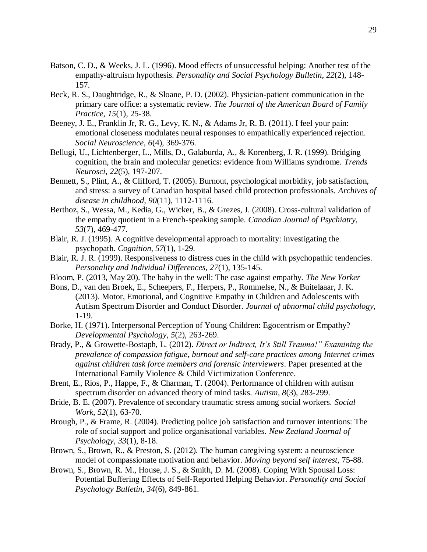- <span id="page-29-1"></span>Batson, C. D., & Weeks, J. L. (1996). Mood effects of unsuccessful helping: Another test of the empathy-altruism hypothesis. *Personality and Social Psychology Bulletin, 22*(2), 148- 157.
- <span id="page-29-2"></span>Beck, R. S., Daughtridge, R., & Sloane, P. D. (2002). Physician-patient communication in the primary care office: a systematic review. *The Journal of the American Board of Family Practice, 15*(1), 25-38.
- <span id="page-29-11"></span>Beeney, J. E., Franklin Jr, R. G., Levy, K. N., & Adams Jr, R. B. (2011). I feel your pain: emotional closeness modulates neural responses to empathically experienced rejection. *Social Neuroscience, 6*(4), 369-376.
- <span id="page-29-6"></span>Bellugi, U., Lichtenberger, L., Mills, D., Galaburda, A., & Korenberg, J. R. (1999). Bridging cognition, the brain and molecular genetics: evidence from Williams syndrome. *Trends Neurosci, 22*(5), 197-207.
- <span id="page-29-7"></span>Bennett, S., Plint, A., & Clifford, T. (2005). Burnout, psychological morbidity, job satisfaction, and stress: a survey of Canadian hospital based child protection professionals. *Archives of disease in childhood, 90*(11), 1112-1116.
- Berthoz, S., Wessa, M., Kedia, G., Wicker, B., & Grezes, J. (2008). Cross-cultural validation of the empathy quotient in a French-speaking sample. *Canadian Journal of Psychiatry, 53*(7), 469-477.
- <span id="page-29-12"></span>Blair, R. J. (1995). A cognitive developmental approach to mortality: investigating the psychopath. *Cognition, 57*(1), 1-29.
- Blair, R. J. R. (1999). Responsiveness to distress cues in the child with psychopathic tendencies. *Personality and Individual Differences, 27*(1), 135-145.
- <span id="page-29-5"></span>Bloom, P. (2013, May 20). The baby in the well: The case against empathy. *The New Yorker*
- <span id="page-29-3"></span>Bons, D., van den Broek, E., Scheepers, F., Herpers, P., Rommelse, N., & Buitelaaar, J. K. (2013). Motor, Emotional, and Cognitive Empathy in Children and Adolescents with Autism Spectrum Disorder and Conduct Disorder. *Journal of abnormal child psychology*, 1-19.
- <span id="page-29-0"></span>Borke, H. (1971). Interpersonal Perception of Young Children: Egocentrism or Empathy? *Developmental Psychology, 5*(2), 263-269.
- <span id="page-29-9"></span>Brady, P., & Growette-Bostaph, L. (2012). *Direct or Indirect, It's Still Trauma!" Examining the prevalence of compassion fatigue, burnout and self-care practices among Internet crimes against children task force members and forensic interviewers*. Paper presented at the International Family Violence & Child Victimization Conference.
- <span id="page-29-8"></span>Brent, E., Rios, P., Happe, F., & Charman, T. (2004). Performance of children with autism spectrum disorder on advanced theory of mind tasks. *Autism, 8*(3), 283-299.
- Bride, B. E. (2007). Prevalence of secondary traumatic stress among social workers. *Social Work, 52*(1), 63-70.
- <span id="page-29-10"></span>Brough, P., & Frame, R. (2004). Predicting police job satisfaction and turnover intentions: The role of social support and police organisational variables. *New Zealand Journal of Psychology, 33*(1), 8-18.
- <span id="page-29-13"></span>Brown, S., Brown, R., & Preston, S. (2012). The human caregiving system: a neuroscience model of compassionate motivation and behavior. *Moving beyond self interest*, 75-88.
- <span id="page-29-4"></span>Brown, S., Brown, R. M., House, J. S., & Smith, D. M. (2008). Coping With Spousal Loss: Potential Buffering Effects of Self-Reported Helping Behavior. *Personality and Social Psychology Bulletin, 34*(6), 849-861.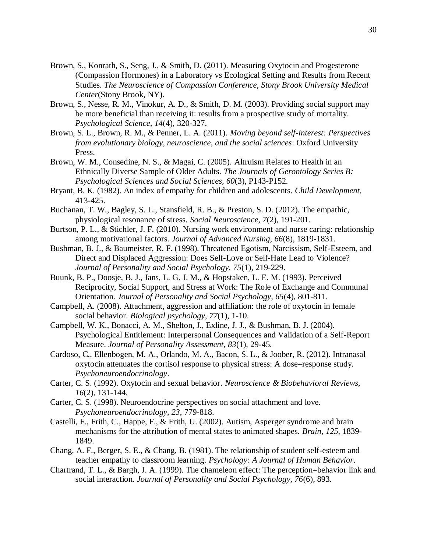- <span id="page-30-5"></span>Brown, S., Konrath, S., Seng, J., & Smith, D. (2011). Measuring Oxytocin and Progesterone (Compassion Hormones) in a Laboratory vs Ecological Setting and Results from Recent Studies. *The Neuroscience of Compassion Conference, Stony Brook University Medical Center*(Stony Brook, NY).
- <span id="page-30-4"></span>Brown, S., Nesse, R. M., Vinokur, A. D., & Smith, D. M. (2003). Providing social support may be more beneficial than receiving it: results from a prospective study of mortality. *Psychological Science, 14*(4), 320-327.
- <span id="page-30-7"></span>Brown, S. L., Brown, R. M., & Penner, L. A. (2011). *Moving beyond self-interest: Perspectives from evolutionary biology, neuroscience, and the social sciences*: Oxford University Press.
- <span id="page-30-3"></span>Brown, W. M., Consedine, N. S., & Magai, C. (2005). Altruism Relates to Health in an Ethnically Diverse Sample of Older Adults. *The Journals of Gerontology Series B: Psychological Sciences and Social Sciences, 60*(3), P143-P152.
- <span id="page-30-0"></span>Bryant, B. K. (1982). An index of empathy for children and adolescents. *Child Development*, 413-425.
- <span id="page-30-9"></span>Buchanan, T. W., Bagley, S. L., Stansfield, R. B., & Preston, S. D. (2012). The empathic, physiological resonance of stress. *Social Neuroscience, 7*(2), 191-201.
- <span id="page-30-8"></span>Burtson, P. L., & Stichler, J. F. (2010). Nursing work environment and nurse caring: relationship among motivational factors. *Journal of Advanced Nursing, 66*(8), 1819-1831.
- <span id="page-30-2"></span>Bushman, B. J., & Baumeister, R. F. (1998). Threatened Egotism, Narcissism, Self-Esteem, and Direct and Displaced Aggression: Does Self-Love or Self-Hate Lead to Violence? *Journal of Personality and Social Psychology, 75*(1), 219-229.
- <span id="page-30-6"></span>Buunk, B. P., Doosje, B. J., Jans, L. G. J. M., & Hopstaken, L. E. M. (1993). Perceived Reciprocity, Social Support, and Stress at Work: The Role of Exchange and Communal Orientation. *Journal of Personality and Social Psychology, 65*(4), 801-811.
- <span id="page-30-12"></span>Campbell, A. (2008). Attachment, aggression and affiliation: the role of oxytocin in female social behavior. *Biological psychology, 77*(1), 1-10.
- <span id="page-30-11"></span>Campbell, W. K., Bonacci, A. M., Shelton, J., Exline, J. J., & Bushman, B. J. (2004). Psychological Entitlement: Interpersonal Consequences and Validation of a Self-Report Measure. *Journal of Personality Assessment, 83*(1), 29-45.
- <span id="page-30-15"></span>Cardoso, C., Ellenbogen, M. A., Orlando, M. A., Bacon, S. L., & Joober, R. (2012). Intranasal oxytocin attenuates the cortisol response to physical stress: A dose–response study. *Psychoneuroendocrinology*.
- <span id="page-30-13"></span>Carter, C. S. (1992). Oxytocin and sexual behavior. *Neuroscience & Biobehavioral Reviews, 16*(2), 131-144.
- <span id="page-30-14"></span>Carter, C. S. (1998). Neuroendocrine perspectives on social attachment and love. *Psychoneuroendocrinology, 23*, 779-818.
- <span id="page-30-1"></span>Castelli, F., Frith, C., Happe, F., & Frith, U. (2002). Autism, Asperger syndrome and brain mechanisms for the attribution of mental states to animated shapes. *Brain, 125*, 1839- 1849.
- Chang, A. F., Berger, S. E., & Chang, B. (1981). The relationship of student self-esteem and teacher empathy to classroom learning. *Psychology: A Journal of Human Behavior*.
- <span id="page-30-10"></span>Chartrand, T. L., & Bargh, J. A. (1999). The chameleon effect: The perception–behavior link and social interaction. *Journal of Personality and Social Psychology, 76*(6), 893.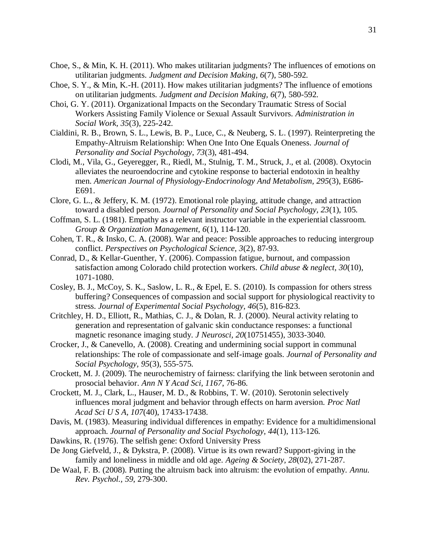- <span id="page-31-15"></span>Choe, S., & Min, K. H. (2011). Who makes utilitarian judgments? The influences of emotions on utilitarian judgments. *Judgment and Decision Making, 6*(7), 580-592.
- <span id="page-31-14"></span>Choe, S. Y., & Min, K.-H. (2011). How makes utilitarian judgments? The influence of emotions on utilitarian judgments. *Judgment and Decision Making, 6*(7), 580-592.
- <span id="page-31-7"></span>Choi, G. Y. (2011). Organizational Impacts on the Secondary Traumatic Stress of Social Workers Assisting Family Violence or Sexual Assault Survivors. *Administration in Social Work, 35*(3), 225-242.
- <span id="page-31-13"></span>Cialdini, R. B., Brown, S. L., Lewis, B. P., Luce, C., & Neuberg, S. L. (1997). Reinterpreting the Empathy-Altruism Relationship: When One Into One Equals Oneness. *Journal of Personality and Social Psychology, 73*(3), 481-494.
- <span id="page-31-17"></span>Clodi, M., Vila, G., Geyeregger, R., Riedl, M., Stulnig, T. M., Struck, J., et al. (2008). Oxytocin alleviates the neuroendocrine and cytokine response to bacterial endotoxin in healthy men. *American Journal of Physiology-Endocrinology And Metabolism, 295*(3), E686- E691.
- <span id="page-31-4"></span>Clore, G. L., & Jeffery, K. M. (1972). Emotional role playing, attitude change, and attraction toward a disabled person. *Journal of Personality and Social Psychology, 23*(1), 105.
- <span id="page-31-3"></span>Coffman, S. L. (1981). Empathy as a relevant instructor variable in the experiential classroom. *Group & Organization Management, 6*(1), 114-120.
- <span id="page-31-1"></span>Cohen, T. R., & Insko, C. A. (2008). War and peace: Possible approaches to reducing intergroup conflict. *Perspectives on Psychological Science, 3*(2), 87-93.
- <span id="page-31-8"></span>Conrad, D., & Kellar-Guenther, Y. (2006). Compassion fatigue, burnout, and compassion satisfaction among Colorado child protection workers. *Child abuse & neglect, 30*(10), 1071-1080.
- <span id="page-31-10"></span>Cosley, B. J., McCoy, S. K., Saslow, L. R., & Epel, E. S. (2010). Is compassion for others stress buffering? Consequences of compassion and social support for physiological reactivity to stress. *Journal of Experimental Social Psychology, 46*(5), 816-823.
- <span id="page-31-9"></span>Critchley, H. D., Elliott, R., Mathias, C. J., & Dolan, R. J. (2000). Neural activity relating to generation and representation of galvanic skin conductance responses: a functional magnetic resonance imaging study. *J Neurosci, 20*(10751455), 3033-3040.
- <span id="page-31-2"></span>Crocker, J., & Canevello, A. (2008). Creating and undermining social support in communal relationships: The role of compassionate and self-image goals. *Journal of Personality and Social Psychology, 95*(3), 555-575.
- <span id="page-31-12"></span>Crockett, M. J. (2009). The neurochemistry of fairness: clarifying the link between serotonin and prosocial behavior. *Ann N Y Acad Sci, 1167*, 76-86.
- <span id="page-31-11"></span>Crockett, M. J., Clark, L., Hauser, M. D., & Robbins, T. W. (2010). Serotonin selectively influences moral judgment and behavior through effects on harm aversion. *Proc Natl Acad Sci U S A, 107*(40), 17433-17438.
- <span id="page-31-0"></span>Davis, M. (1983). Measuring individual differences in empathy: Evidence for a multidimensional approach. *Journal of Personality and Social Psychology, 44*(1), 113-126.
- <span id="page-31-6"></span>Dawkins, R. (1976). The selfish gene: Oxford University Press
- <span id="page-31-5"></span>De Jong Giefveld, J., & Dykstra, P. (2008). Virtue is its own reward? Support-giving in the family and loneliness in middle and old age. *Ageing & Society, 28*(02), 271-287.
- <span id="page-31-16"></span>De Waal, F. B. (2008). Putting the altruism back into altruism: the evolution of empathy. *Annu. Rev. Psychol., 59*, 279-300.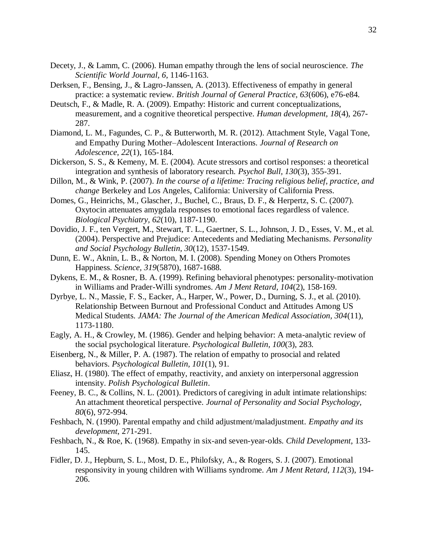- <span id="page-32-2"></span>Decety, J., & Lamm, C. (2006). Human empathy through the lens of social neuroscience. *The Scientific World Journal, 6*, 1146-1163.
- <span id="page-32-6"></span>Derksen, F., Bensing, J., & Lagro-Janssen, A. (2013). Effectiveness of empathy in general practice: a systematic review. *British Journal of General Practice, 63*(606), e76-e84.
- <span id="page-32-0"></span>Deutsch, F., & Madle, R. A. (2009). Empathy: Historic and current conceptualizations, measurement, and a cognitive theoretical perspective. *Human development, 18*(4), 267- 287.
- <span id="page-32-9"></span>Diamond, L. M., Fagundes, C. P., & Butterworth, M. R. (2012). Attachment Style, Vagal Tone, and Empathy During Mother–Adolescent Interactions. *Journal of Research on Adolescence, 22*(1), 165-184.
- <span id="page-32-15"></span>Dickerson, S. S., & Kemeny, M. E. (2004). Acute stressors and cortisol responses: a theoretical integration and synthesis of laboratory research. *Psychol Bull, 130*(3), 355-391.
- <span id="page-32-10"></span>Dillon, M., & Wink, P. (2007). *In the course of a lifetime: Tracing religious belief, practice, and change* Berkeley and Los Angeles, California: University of California Press.
- <span id="page-32-17"></span>Domes, G., Heinrichs, M., Glascher, J., Buchel, C., Braus, D. F., & Herpertz, S. C. (2007). Oxytocin attenuates amygdala responses to emotional faces regardless of valence. *Biological Psychiatry, 62*(10), 1187-1190.
- <span id="page-32-8"></span>Dovidio, J. F., ten Vergert, M., Stewart, T. L., Gaertner, S. L., Johnson, J. D., Esses, V. M., et al. (2004). Perspective and Prejudice: Antecedents and Mediating Mechanisms. *Personality and Social Psychology Bulletin, 30*(12), 1537-1549.
- <span id="page-32-11"></span>Dunn, E. W., Aknin, L. B., & Norton, M. I. (2008). Spending Money on Others Promotes Happiness. *Science, 319*(5870), 1687-1688.
- <span id="page-32-12"></span>Dykens, E. M., & Rosner, B. A. (1999). Refining behavioral phenotypes: personality-motivation in Williams and Prader-Willi syndromes. *Am J Ment Retard, 104*(2), 158-169.
- <span id="page-32-14"></span>Dyrbye, L. N., Massie, F. S., Eacker, A., Harper, W., Power, D., Durning, S. J., et al. (2010). Relationship Between Burnout and Professional Conduct and Attitudes Among US Medical Students. *JAMA: The Journal of the American Medical Association, 304*(11), 1173-1180.
- <span id="page-32-16"></span>Eagly, A. H., & Crowley, M. (1986). Gender and helping behavior: A meta-analytic review of the social psychological literature. *Psychological Bulletin, 100*(3), 283.
- <span id="page-32-3"></span>Eisenberg, N., & Miller, P. A. (1987). The relation of empathy to prosocial and related behaviors. *Psychological Bulletin, 101*(1), 91.
- <span id="page-32-7"></span>Eliasz, H. (1980). The effect of empathy, reactivity, and anxiety on interpersonal aggression intensity. *Polish Psychological Bulletin*.
- <span id="page-32-5"></span>Feeney, B. C., & Collins, N. L. (2001). Predictors of caregiving in adult intimate relationships: An attachment theoretical perspective. *Journal of Personality and Social Psychology, 80*(6), 972-994.
- <span id="page-32-4"></span>Feshbach, N. (1990). Parental empathy and child adjustment/maladjustment. *Empathy and its development*, 271-291.
- <span id="page-32-1"></span>Feshbach, N., & Roe, K. (1968). Empathy in six-and seven-year-olds. *Child Development*, 133- 145.
- <span id="page-32-13"></span>Fidler, D. J., Hepburn, S. L., Most, D. E., Philofsky, A., & Rogers, S. J. (2007). Emotional responsivity in young children with Williams syndrome. *Am J Ment Retard, 112*(3), 194- 206.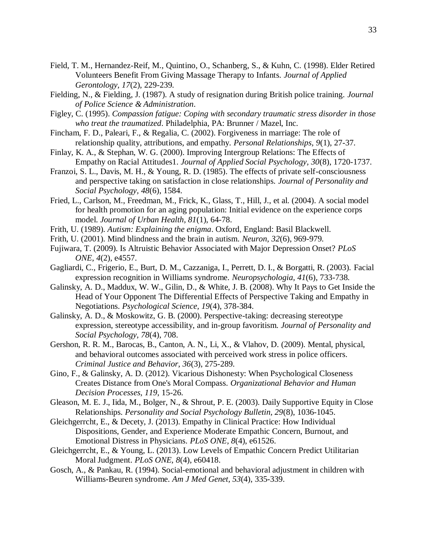- <span id="page-33-8"></span>Field, T. M., Hernandez-Reif, M., Quintino, O., Schanberg, S., & Kuhn, C. (1998). Elder Retired Volunteers Benefit From Giving Massage Therapy to Infants. *Journal of Applied Gerontology, 17*(2), 229-239.
- <span id="page-33-13"></span>Fielding, N., & Fielding, J. (1987). A study of resignation during British police training. *Journal of Police Science & Administration*.
- <span id="page-33-12"></span>Figley, C. (1995). *Compassion fatigue: Coping with secondary traumatic stress disorder in those who treat the traumatized*. Philadelphia, PA: Brunner / Mazel, Inc.
- <span id="page-33-2"></span>Fincham, F. D., Paleari, F., & Regalia, C. (2002). Forgiveness in marriage: The role of relationship quality, attributions, and empathy. *Personal Relationships, 9*(1), 27-37.
- <span id="page-33-3"></span>Finlay, K. A., & Stephan, W. G. (2000). Improving Intergroup Relations: The Effects of Empathy on Racial Attitudes1. *Journal of Applied Social Psychology, 30*(8), 1720-1737.
- <span id="page-33-1"></span>Franzoi, S. L., Davis, M. H., & Young, R. D. (1985). The effects of private self-consciousness and perspective taking on satisfaction in close relationships. *Journal of Personality and Social Psychology, 48*(6), 1584.
- <span id="page-33-6"></span>Fried, L., Carlson, M., Freedman, M., Frick, K., Glass, T., Hill, J., et al. (2004). A social model for health promotion for an aging population: Initial evidence on the experience corps model. *Journal of Urban Health, 81*(1), 64-78.
- <span id="page-33-5"></span>Frith, U. (1989). *Autism: Explaining the enigma*. Oxford, England: Basil Blackwell.
- Frith, U. (2001). Mind blindness and the brain in autism. *Neuron, 32*(6), 969-979.
- <span id="page-33-9"></span>Fujiwara, T. (2009). Is Altruistic Behavior Associated with Major Depression Onset? *PLoS ONE, 4*(2), e4557.
- <span id="page-33-11"></span>Gagliardi, C., Frigerio, E., Burt, D. M., Cazzaniga, I., Perrett, D. I., & Borgatti, R. (2003). Facial expression recognition in Williams syndrome. *Neuropsychologia, 41*(6), 733-738.
- <span id="page-33-0"></span>Galinsky, A. D., Maddux, W. W., Gilin, D., & White, J. B. (2008). Why It Pays to Get Inside the Head of Your Opponent The Differential Effects of Perspective Taking and Empathy in Negotiations. *Psychological Science, 19*(4), 378-384.
- <span id="page-33-4"></span>Galinsky, A. D., & Moskowitz, G. B. (2000). Perspective-taking: decreasing stereotype expression, stereotype accessibility, and in-group favoritism. *Journal of Personality and Social Psychology, 78*(4), 708.
- <span id="page-33-14"></span>Gershon, R. R. M., Barocas, B., Canton, A. N., Li, X., & Vlahov, D. (2009). Mental, physical, and behavioral outcomes associated with perceived work stress in police officers. *Criminal Justice and Behavior, 36*(3), 275-289.
- <span id="page-33-16"></span>Gino, F., & Galinsky, A. D. (2012). Vicarious Dishonesty: When Psychological Closeness Creates Distance from One's Moral Compass. *Organizational Behavior and Human Decision Processes, 119*, 15-26.
- <span id="page-33-7"></span>Gleason, M. E. J., Iida, M., Bolger, N., & Shrout, P. E. (2003). Daily Supportive Equity in Close Relationships. *Personality and Social Psychology Bulletin, 29*(8), 1036-1045.
- <span id="page-33-15"></span>Gleichgerrcht, E., & Decety, J. (2013). Empathy in Clinical Practice: How Individual Dispositions, Gender, and Experience Moderate Empathic Concern, Burnout, and Emotional Distress in Physicians. *PLoS ONE, 8*(4), e61526.
- <span id="page-33-17"></span>Gleichgerrcht, E., & Young, L. (2013). Low Levels of Empathic Concern Predict Utilitarian Moral Judgment. *PLoS ONE, 8*(4), e60418.
- <span id="page-33-10"></span>Gosch, A., & Pankau, R. (1994). Social-emotional and behavioral adjustment in children with Williams-Beuren syndrome. *Am J Med Genet, 53*(4), 335-339.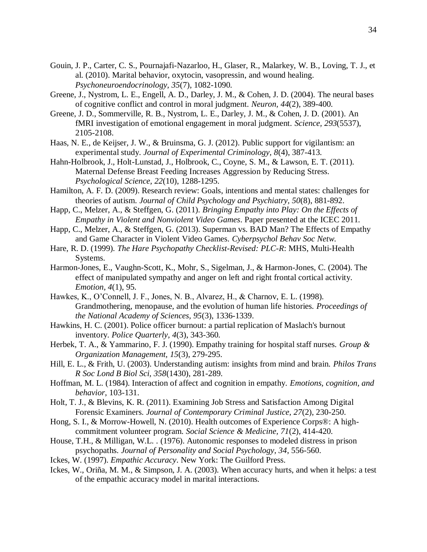- <span id="page-34-16"></span>Gouin, J. P., Carter, C. S., Pournajafi-Nazarloo, H., Glaser, R., Malarkey, W. B., Loving, T. J., et al. (2010). Marital behavior, oxytocin, vasopressin, and wound healing. *Psychoneuroendocrinology, 35*(7), 1082-1090.
- <span id="page-34-12"></span>Greene, J., Nystrom, L. E., Engell, A. D., Darley, J. M., & Cohen, J. D. (2004). The neural bases of cognitive conflict and control in moral judgment. *Neuron, 44*(2), 389-400.
- <span id="page-34-13"></span>Greene, J. D., Sommerville, R. B., Nystrom, L. E., Darley, J. M., & Cohen, J. D. (2001). An fMRI investigation of emotional engagement in moral judgment. *Science, 293*(5537), 2105-2108.
- <span id="page-34-14"></span>Haas, N. E., de Keijser, J. W., & Bruinsma, G. J. (2012). Public support for vigilantism: an experimental study. *Journal of Experimental Criminology, 8*(4), 387-413.
- <span id="page-34-15"></span>Hahn-Holbrook, J., Holt-Lunstad, J., Holbrook, C., Coyne, S. M., & Lawson, E. T. (2011). Maternal Defense Breast Feeding Increases Aggression by Reducing Stress. *Psychological Science, 22*(10), 1288-1295.
- <span id="page-34-10"></span>Hamilton, A. F. D. (2009). Research review: Goals, intentions and mental states: challenges for theories of autism. *Journal of Child Psychology and Psychiatry, 50*(8), 881-892.
- Happ, C., Melzer, A., & Steffgen, G. (2011). *Bringing Empathy into Play: On the Effects of Empathy in Violent and Nonviolent Video Games*. Paper presented at the ICEC 2011.
- <span id="page-34-11"></span>Happ, C., Melzer, A., & Steffgen, G. (2013). Superman vs. BAD Man? The Effects of Empathy and Game Character in Violent Video Games. *Cyberpsychol Behav Soc Netw*.
- <span id="page-34-4"></span>Hare, R. D. (1999). *The Hare Psychopathy Checklist-Revised: PLC-R*: MHS, Multi-Health Systems.
- <span id="page-34-3"></span>Harmon-Jones, E., Vaughn-Scott, K., Mohr, S., Sigelman, J., & Harmon-Jones, C. (2004). The effect of manipulated sympathy and anger on left and right frontal cortical activity. *Emotion, 4*(1), 95.
- <span id="page-34-6"></span>Hawkes, K., O'Connell, J. F., Jones, N. B., Alvarez, H., & Charnov, E. L. (1998). Grandmothering, menopause, and the evolution of human life histories. *Proceedings of the National Academy of Sciences, 95*(3), 1336-1339.
- <span id="page-34-8"></span>Hawkins, H. C. (2001). Police officer burnout: a partial replication of Maslach's burnout inventory. *Police Quarterly, 4*(3), 343-360.
- <span id="page-34-9"></span>Herbek, T. A., & Yammarino, F. J. (1990). Empathy training for hospital staff nurses. *Group & Organization Management, 15*(3), 279-295.
- <span id="page-34-0"></span>Hill, E. L., & Frith, U. (2003). Understanding autism: insights from mind and brain. *Philos Trans R Soc Lond B Biol Sci, 358*(1430), 281-289.
- Hoffman, M. L. (1984). Interaction of affect and cognition in empathy. *Emotions, cognition, and behavior*, 103-131.
- <span id="page-34-7"></span>Holt, T. J., & Blevins, K. R. (2011). Examining Job Stress and Satisfaction Among Digital Forensic Examiners. *Journal of Contemporary Criminal Justice, 27*(2), 230-250.
- <span id="page-34-5"></span>Hong, S. I., & Morrow-Howell, N. (2010). Health outcomes of Experience Corps®: A highcommitment volunteer program. *Social Science & Medicine, 71*(2), 414-420.
- <span id="page-34-1"></span>House, T.H., & Milligan, W.L. . (1976). Autonomic responses to modeled distress in prison psychopaths. *Journal of Personality and Social Psychology, 34*, 556-560.
- Ickes, W. (1997). *Empathic Accuracy*. New York: The Guilford Press.
- <span id="page-34-2"></span>Ickes, W., Oriña, M. M., & Simpson, J. A. (2003). When accuracy hurts, and when it helps: a test of the empathic accuracy model in marital interactions.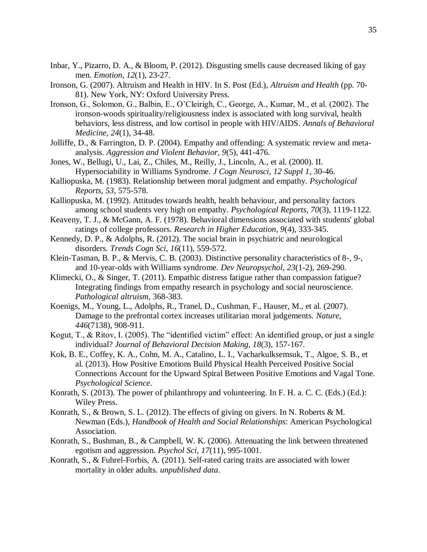- <span id="page-35-15"></span>Inbar, Y., Pizarro, D. A., & Bloom, P. (2012). Disgusting smells cause decreased liking of gay men. *Emotion, 12*(1), 23-27.
- <span id="page-35-7"></span>Ironson, G. (2007). Altruism and Health in HIV. In S. Post (Ed.), *Altruism and Health* (pp. 70- 81). New York, NY: Oxford University Press.
- <span id="page-35-5"></span>Ironson, G., Solomon, G., Balbin, E., O'Cleirigh, C., George, A., Kumar, M., et al. (2002). The ironson-woods spirituality/religiousness index is associated with long survival, health behaviors, less distress, and low cortisol in people with HIV/AIDS. *Annals of Behavioral Medicine, 24*(1), 34-48.
- <span id="page-35-1"></span>Jolliffe, D., & Farrington, D. P. (2004). Empathy and offending: A systematic review and metaanalysis. *Aggression and Violent Behavior, 9*(5), 441-476.
- <span id="page-35-9"></span>Jones, W., Bellugi, U., Lai, Z., Chiles, M., Reilly, J., Lincoln, A., et al. (2000). II. Hypersociability in Williams Syndrome. *J Cogn Neurosci, 12 Suppl 1*, 30-46.
- <span id="page-35-16"></span>Kalliopuska, M. (1983). Relationship between moral judgment and empathy. *Psychological Reports, 53*, 575-578.
- <span id="page-35-6"></span>Kalliopuska, M. (1992). Attitudes towards health, health behaviour, and personality factors among school students very high on empathy. *Psychological Reports, 70*(3), 1119-1122.
- <span id="page-35-0"></span>Keaveny, T. J., & McGann, A. F. (1978). Behavioral dimensions associated with students' global ratings of college professors. *Research in Higher Education, 9*(4), 333-345.
- <span id="page-35-11"></span>Kennedy, D. P., & Adolphs, R. (2012). The social brain in psychiatric and neurological disorders. *Trends Cogn Sci, 16*(11), 559-572.
- <span id="page-35-10"></span>Klein-Tasman, B. P., & Mervis, C. B. (2003). Distinctive personality characteristics of 8-, 9-, and 10-year-olds with Williams syndrome. *Dev Neuropsychol, 23*(1-2), 269-290.
- <span id="page-35-12"></span>Klimecki, O., & Singer, T. (2011). Empathic distress fatigue rather than compassion fatigue? Integrating findings from empathy research in psychology and social neuroscience. *Pathological altruism*, 368-383.
- <span id="page-35-17"></span>Koenigs, M., Young, L., Adolphs, R., Tranel, D., Cushman, F., Hauser, M., et al. (2007). Damage to the prefrontal cortex increases utilitarian moral judgements. *Nature, 446*(7138), 908-911.
- <span id="page-35-14"></span>Kogut, T., & Ritov, I. (2005). The "identified victim" effect: An identified group, or just a single individual? *Journal of Behavioral Decision Making, 18*(3), 157-167.
- <span id="page-35-13"></span>Kok, B. E., Coffey, K. A., Cohn, M. A., Catalino, L. I., Vacharkulksemsuk, T., Algoe, S. B., et al. (2013). How Positive Emotions Build Physical Health Perceived Positive Social Connections Account for the Upward Spiral Between Positive Emotions and Vagal Tone. *Psychological Science*.
- <span id="page-35-3"></span>Konrath, S. (2013). The power of philanthropy and volunteering. In F. H. a. C. C. (Eds.) (Ed.): Wiley Press.
- <span id="page-35-4"></span>Konrath, S., & Brown, S. L. (2012). The effects of giving on givers. In N. Roberts & M. Newman (Eds.), *Handbook of Health and Social Relationships*: American Psychological Association.
- <span id="page-35-2"></span>Konrath, S., Bushman, B., & Campbell, W. K. (2006). Attenuating the link between threatened egotism and aggression. *Psychol Sci, 17*(11), 995-1001.
- <span id="page-35-8"></span>Konrath, S., & Fuhrel-Forbis, A. (2011). Self-rated caring traits are associated with lower mortality in older adults. *unpublished data*.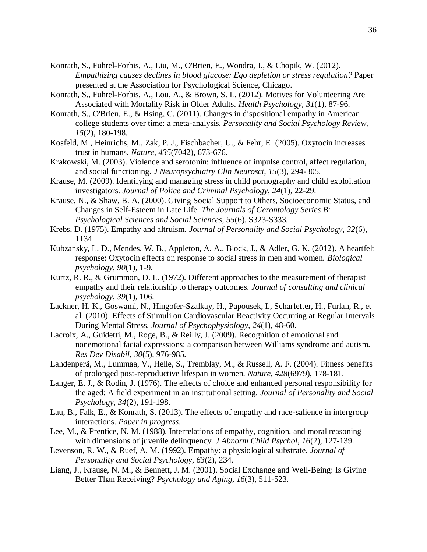- <span id="page-36-2"></span>Konrath, S., Fuhrel-Forbis, A., Liu, M., O'Brien, E., Wondra, J., & Chopik, W. (2012). *Empathizing causes declines in blood glucose: Ego depletion or stress regulation?* Paper presented at the Association for Psychological Science, Chicago.
- <span id="page-36-3"></span>Konrath, S., Fuhrel-Forbis, A., Lou, A., & Brown, S. L. (2012). Motives for Volunteering Are Associated with Mortality Risk in Older Adults. *Health Psychology, 31*(1), 87-96.
- <span id="page-36-1"></span>Konrath, S., O'Brien, E., & Hsing, C. (2011). Changes in dispositional empathy in American college students over time: a meta-analysis. *Personality and Social Psychology Review, 15*(2), 180-198.
- <span id="page-36-16"></span>Kosfeld, M., Heinrichs, M., Zak, P. J., Fischbacher, U., & Fehr, E. (2005). Oxytocin increases trust in humans. *Nature, 435*(7042), 673-676.
- <span id="page-36-12"></span>Krakowski, M. (2003). Violence and serotonin: influence of impulse control, affect regulation, and social functioning. *J Neuropsychiatry Clin Neurosci, 15*(3), 294-305.
- <span id="page-36-9"></span>Krause, M. (2009). Identifying and managing stress in child pornography and child exploitation investigators. *Journal of Police and Criminal Psychology, 24*(1), 22-29.
- <span id="page-36-4"></span>Krause, N., & Shaw, B. A. (2000). Giving Social Support to Others, Socioeconomic Status, and Changes in Self-Esteem in Late Life. *The Journals of Gerontology Series B: Psychological Sciences and Social Sciences, 55*(6), S323-S333.
- <span id="page-36-13"></span>Krebs, D. (1975). Empathy and altruism. *Journal of Personality and Social Psychology, 32*(6), 1134.
- <span id="page-36-17"></span>Kubzansky, L. D., Mendes, W. B., Appleton, A. A., Block, J., & Adler, G. K. (2012). A heartfelt response: Oxytocin effects on response to social stress in men and women. *Biological psychology, 90*(1), 1-9.
- <span id="page-36-0"></span>Kurtz, R. R., & Grummon, D. L. (1972). Different approaches to the measurement of therapist empathy and their relationship to therapy outcomes. *Journal of consulting and clinical psychology, 39*(1), 106.
- <span id="page-36-10"></span>Lackner, H. K., Goswami, N., Hingofer-Szalkay, H., Papousek, I., Scharfetter, H., Furlan, R., et al. (2010). Effects of Stimuli on Cardiovascular Reactivity Occurring at Regular Intervals During Mental Stress. *Journal of Psychophysiology, 24*(1), 48-60.
- <span id="page-36-7"></span>Lacroix, A., Guidetti, M., Roge, B., & Reilly, J. (2009). Recognition of emotional and nonemotional facial expressions: a comparison between Williams syndrome and autism. *Res Dev Disabil, 30*(5), 976-985.
- <span id="page-36-8"></span>Lahdenperä, M., Lummaa, V., Helle, S., Tremblay, M., & Russell, A. F. (2004). Fitness benefits of prolonged post-reproductive lifespan in women. *Nature, 428*(6979), 178-181.
- <span id="page-36-5"></span>Langer, E. J., & Rodin, J. (1976). The effects of choice and enhanced personal responsibility for the aged: A field experiment in an institutional setting. *Journal of Personality and Social Psychology, 34*(2), 191-198.
- <span id="page-36-15"></span>Lau, B., Falk, E., & Konrath, S. (2013). The effects of empathy and race-salience in intergroup interactions. *Paper in progress*.
- <span id="page-36-14"></span>Lee, M., & Prentice, N. M. (1988). Interrelations of empathy, cognition, and moral reasoning with dimensions of juvenile delinquency. *J Abnorm Child Psychol, 16*(2), 127-139.
- <span id="page-36-11"></span>Levenson, R. W., & Ruef, A. M. (1992). Empathy: a physiological substrate. *Journal of Personality and Social Psychology, 63*(2), 234.
- <span id="page-36-6"></span>Liang, J., Krause, N. M., & Bennett, J. M. (2001). Social Exchange and Well-Being: Is Giving Better Than Receiving? *Psychology and Aging, 16*(3), 511-523.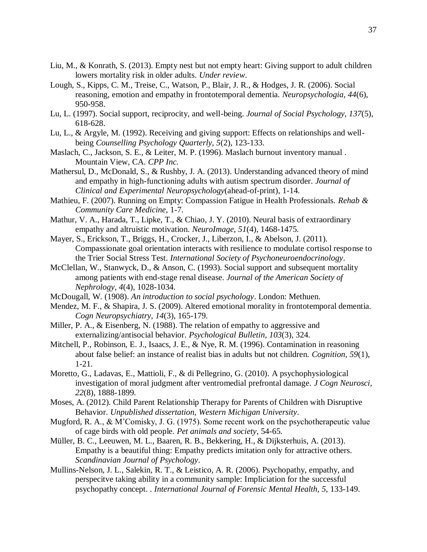- <span id="page-37-7"></span>Liu, M., & Konrath, S. (2013). Empty nest but not empty heart: Giving support to adult children lowers mortality risk in older adults. *Under review*.
- <span id="page-37-14"></span>Lough, S., Kipps, C. M., Treise, C., Watson, P., Blair, J. R., & Hodges, J. R. (2006). Social reasoning, emotion and empathy in frontotemporal dementia. *Neuropsychologia, 44*(6), 950-958.
- <span id="page-37-5"></span>Lu, L. (1997). Social support, reciprocity, and well-being. *Journal of Social Psychology, 137*(5), 618-628.
- <span id="page-37-6"></span>Lu, L., & Argyle, M. (1992). Receiving and giving support: Effects on relationships and wellbeing *Counselling Psychology Quarterly, 5*(2), 123-133.
- <span id="page-37-9"></span>Maslach, C., Jackson, S. E., & Leiter, M. P. (1996). Maslach burnout inventory manual . Mountain View, CA. *CPP Inc.*
- <span id="page-37-2"></span>Mathersul, D., McDonald, S., & Rushby, J. A. (2013). Understanding advanced theory of mind and empathy in high-functioning adults with autism spectrum disorder. *Journal of Clinical and Experimental Neuropsychology*(ahead-of-print), 1-14.
- <span id="page-37-8"></span>Mathieu, F. (2007). Running on Empty: Compassion Fatigue in Health Professionals. *Rehab & Community Care Medicine*, 1-7.
- <span id="page-37-11"></span>Mathur, V. A., Harada, T., Lipke, T., & Chiao, J. Y. (2010). Neural basis of extraordinary empathy and altruistic motivation. *NeuroImage, 51*(4), 1468-1475.
- <span id="page-37-10"></span>Mayer, S., Erickson, T., Briggs, H., Crocker, J., Liberzon, I., & Abelson, J. (2011). Compassionate goal orientation interacts with resilience to modulate cortisol response to the Trier Social Stress Test. *International Society of Psychoneuroendocrinology*.
- <span id="page-37-3"></span>McClellan, W., Stanwyck, D., & Anson, C. (1993). Social support and subsequent mortality among patients with end-stage renal disease. *Journal of the American Society of Nephrology, 4*(4), 1028-1034.
- <span id="page-37-17"></span>McDougall, W. (1908). *An introduction to social psychology*. London: Methuen.
- <span id="page-37-15"></span>Mendez, M. F., & Shapira, J. S. (2009). Altered emotional morality in frontotemporal dementia. *Cogn Neuropsychiatry, 14*(3), 165-179.
- <span id="page-37-1"></span>Miller, P. A., & Eisenberg, N. (1988). The relation of empathy to aggressive and externalizing/antisocial behavior. *Psychological Bulletin, 103*(3), 324.
- <span id="page-37-16"></span>Mitchell, P., Robinson, E. J., Isaacs, J. E., & Nye, R. M. (1996). Contamination in reasoning about false belief: an instance of realist bias in adults but not children. *Cognition, 59*(1), 1-21.
- Moretto, G., Ladavas, E., Mattioli, F., & di Pellegrino, G. (2010). A psychophysiological investigation of moral judgment after ventromedial prefrontal damage. *J Cogn Neurosci, 22*(8), 1888-1899.
- <span id="page-37-0"></span>Moses, A. (2012). Child Parent Relationship Therapy for Parents of Children with Disruptive Behavior. *Unpublished dissertation, Western Michigan University*.
- <span id="page-37-4"></span>Mugford, R. A., & M'Comisky, J. G. (1975). Some recent work on the psychotherapeutic value of cage birds with old people. *Pet animals and society*, 54-65.
- <span id="page-37-12"></span>Müller, B. C., Leeuwen, M. L., Baaren, R. B., Bekkering, H., & Dijksterhuis, A. (2013). Empathy is a beautiful thing: Empathy predicts imitation only for attractive others. *Scandinavian Journal of Psychology*.
- <span id="page-37-13"></span>Mullins-Nelson, J. L., Salekin, R. T., & Leistico, A. R. (2006). Psychopathy, empathy, and perspecitve taking ability in a community sample: Impliciation for the successful psychopathy concept. . *International Journal of Forensic Mental Health, 5*, 133-149.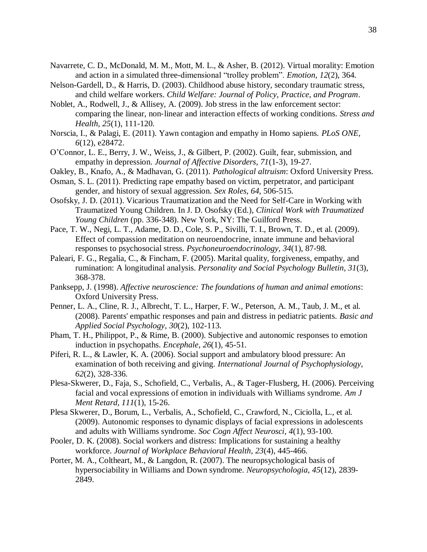- Navarrete, C. D., McDonald, M. M., Mott, M. L., & Asher, B. (2012). Virtual morality: Emotion and action in a simulated three-dimensional "trolley problem". *Emotion, 12*(2), 364.
- <span id="page-38-11"></span>Nelson-Gardell, D., & Harris, D. (2003). Childhood abuse history, secondary traumatic stress, and child welfare workers. *Child Welfare: Journal of Policy, Practice, and Program*.
- <span id="page-38-12"></span>Noblet, A., Rodwell, J., & Allisey, A. (2009). Job stress in the law enforcement sector: comparing the linear, non‐linear and interaction effects of working conditions. *Stress and Health, 25*(1), 111-120.
- <span id="page-38-15"></span>Norscia, I., & Palagi, E. (2011). Yawn contagion and empathy in Homo sapiens. *PLoS ONE, 6*(12), e28472.
- <span id="page-38-3"></span>O'Connor, L. E., Berry, J. W., Weiss, J., & Gilbert, P. (2002). Guilt, fear, submission, and empathy in depression. *Journal of Affective Disorders, 71*(1-3), 19-27.
- <span id="page-38-5"></span>Oakley, B., Knafo, A., & Madhavan, G. (2011). *Pathological altruism*: Oxford University Press.
- <span id="page-38-14"></span>Osman, S. L. (2011). Predicting rape empathy based on victim, perpetrator, and participant gender, and history of sexual aggression. *Sex Roles, 64*, 506-515.
- <span id="page-38-10"></span>Osofsky, J. D. (2011). Vicarious Traumatization and the Need for Self-Care in Working with Traumatized Young Children. In J. D. Osofsky (Ed.), *Clinical Work with Traumatized Young Children* (pp. 336-348). New York, NY: The Guilford Press.
- <span id="page-38-13"></span>Pace, T. W., Negi, L. T., Adame, D. D., Cole, S. P., Sivilli, T. I., Brown, T. D., et al. (2009). Effect of compassion meditation on neuroendocrine, innate immune and behavioral responses to psychosocial stress. *Psychoneuroendocrinology, 34*(1), 87-98.
- <span id="page-38-2"></span>Paleari, F. G., Regalia, C., & Fincham, F. (2005). Marital quality, forgiveness, empathy, and rumination: A longitudinal analysis. *Personality and Social Psychology Bulletin, 31*(3), 368-378.
- <span id="page-38-0"></span>Panksepp, J. (1998). *Affective neuroscience: The foundations of human and animal emotions*: Oxford University Press.
- <span id="page-38-1"></span>Penner, L. A., Cline, R. J., Albrecht, T. L., Harper, F. W., Peterson, A. M., Taub, J. M., et al. (2008). Parents' empathic responses and pain and distress in pediatric patients. *Basic and Applied Social Psychology, 30*(2), 102-113.
- <span id="page-38-16"></span>Pham, T. H., Philippot, P., & Rime, B. (2000). Subjective and autonomic responses to emotion induction in psychopaths. *Encephale, 26*(1), 45-51.
- <span id="page-38-4"></span>Piferi, R. L., & Lawler, K. A. (2006). Social support and ambulatory blood pressure: An examination of both receiving and giving. *International Journal of Psychophysiology, 62*(2), 328-336.
- <span id="page-38-8"></span>Plesa-Skwerer, D., Faja, S., Schofield, C., Verbalis, A., & Tager-Flusberg, H. (2006). Perceiving facial and vocal expressions of emotion in individuals with Williams syndrome. *Am J Ment Retard, 111*(1), 15-26.
- <span id="page-38-6"></span>Plesa Skwerer, D., Borum, L., Verbalis, A., Schofield, C., Crawford, N., Ciciolla, L., et al. (2009). Autonomic responses to dynamic displays of facial expressions in adolescents and adults with Williams syndrome. *Soc Cogn Affect Neurosci, 4*(1), 93-100.
- <span id="page-38-9"></span>Pooler, D. K. (2008). Social workers and distress: Implications for sustaining a healthy workforce. *Journal of Workplace Behavioral Health, 23*(4), 445-466.
- <span id="page-38-7"></span>Porter, M. A., Coltheart, M., & Langdon, R. (2007). The neuropsychological basis of hypersociability in Williams and Down syndrome. *Neuropsychologia, 45*(12), 2839- 2849.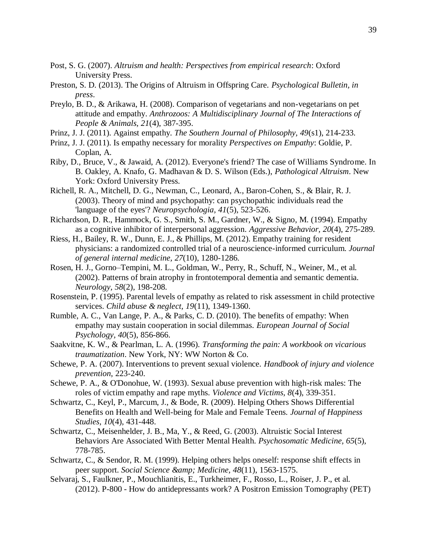- <span id="page-39-5"></span>Post, S. G. (2007). *Altruism and health: Perspectives from empirical research*: Oxford University Press.
- <span id="page-39-14"></span>Preston, S. D. (2013). The Origins of Altruism in Offspring Care. *Psychological Bulletin, in press*.
- <span id="page-39-17"></span>Preylo, B. D., & Arikawa, H. (2008). Comparison of vegetarians and non-vegetarians on pet attitude and empathy. *Anthrozoos: A Multidisciplinary Journal of The Interactions of People & Animals, 21*(4), 387-395.
- <span id="page-39-9"></span>Prinz, J. J. (2011). Against empathy. *The Southern Journal of Philosophy, 49*(s1), 214-233.
- <span id="page-39-15"></span>Prinz, J. J. (2011). Is empathy necessary for morality *Perspectives on Empathy*: Goldie, P. Coplan, A.
- <span id="page-39-10"></span>Riby, D., Bruce, V., & Jawaid, A. (2012). Everyone's friend? The case of Williams Syndrome. In B. Oakley, A. Knafo, G. Madhavan & D. S. Wilson (Eds.), *Pathological Altruism*. New York: Oxford University Press.
- <span id="page-39-2"></span>Richell, R. A., Mitchell, D. G., Newman, C., Leonard, A., Baron-Cohen, S., & Blair, R. J. (2003). Theory of mind and psychopathy: can psychopathic individuals read the 'language of the eyes'? *Neuropsychologia, 41*(5), 523-526.
- Richardson, D. R., Hammock, G. S., Smith, S. M., Gardner, W., & Signo, M. (1994). Empathy as a cognitive inhibitor of interpersonal aggression. *Aggressive Behavior, 20*(4), 275-289.
- <span id="page-39-12"></span>Riess, H., Bailey, R. W., Dunn, E. J., & Phillips, M. (2012). Empathy training for resident physicians: a randomized controlled trial of a neuroscience-informed curriculum. *Journal of general internal medicine, 27*(10), 1280-1286.
- <span id="page-39-16"></span>Rosen, H. J., Gorno–Tempini, M. L., Goldman, W., Perry, R., Schuff, N., Weiner, M., et al. (2002). Patterns of brain atrophy in frontotemporal dementia and semantic dementia. *Neurology, 58*(2), 198-208.
- <span id="page-39-1"></span>Rosenstein, P. (1995). Parental levels of empathy as related to risk assessment in child protective services. *Child abuse & neglect, 19*(11), 1349-1360.
- <span id="page-39-0"></span>Rumble, A. C., Van Lange, P. A., & Parks, C. D. (2010). The benefits of empathy: When empathy may sustain cooperation in social dilemmas. *European Journal of Social Psychology, 40*(5), 856-866.
- <span id="page-39-11"></span>Saakvitne, K. W., & Pearlman, L. A. (1996). *Transforming the pain: A workbook on vicarious traumatization*. New York, NY: WW Norton & Co.
- <span id="page-39-3"></span>Schewe, P. A. (2007). Interventions to prevent sexual violence. *Handbook of injury and violence prevention*, 223-240.
- <span id="page-39-4"></span>Schewe, P. A., & O'Donohue, W. (1993). Sexual abuse prevention with high-risk males: The roles of victim empathy and rape myths. *Violence and Victims, 8*(4), 339-351.
- <span id="page-39-6"></span>Schwartz, C., Keyl, P., Marcum, J., & Bode, R. (2009). Helping Others Shows Differential Benefits on Health and Well-being for Male and Female Teens. *Journal of Happiness Studies, 10*(4), 431-448.
- <span id="page-39-7"></span>Schwartz, C., Meisenhelder, J. B., Ma, Y., & Reed, G. (2003). Altruistic Social Interest Behaviors Are Associated With Better Mental Health. *Psychosomatic Medicine, 65*(5), 778-785.
- <span id="page-39-8"></span>Schwartz, C., & Sendor, R. M. (1999). Helping others helps oneself: response shift effects in peer support. *Social Science & amp*; *Medicine*, 48(11), 1563-1575.
- <span id="page-39-13"></span>Selvaraj, S., Faulkner, P., Mouchlianitis, E., Turkheimer, F., Rosso, L., Roiser, J. P., et al. (2012). P-800 - How do antidepressants work? A Positron Emission Tomography (PET)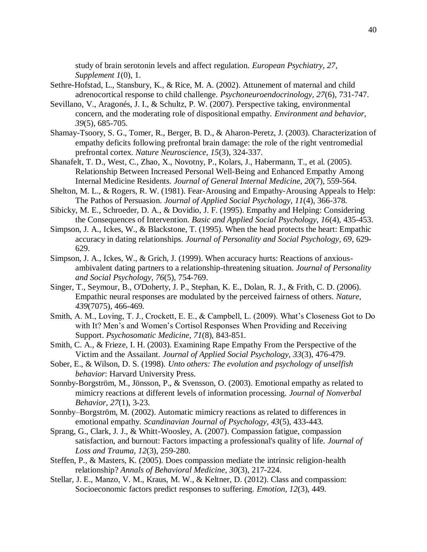study of brain serotonin levels and affect regulation. *European Psychiatry, 27, Supplement 1*(0), 1.

- <span id="page-40-8"></span>Sethre-Hofstad, L., Stansbury, K., & Rice, M. A. (2002). Attunement of maternal and child adrenocortical response to child challenge. *Psychoneuroendocrinology, 27*(6), 731-747.
- <span id="page-40-14"></span>Sevillano, V., Aragonés, J. I., & Schultz, P. W. (2007). Perspective taking, environmental concern, and the moderating role of dispositional empathy. *Environment and behavior, 39*(5), 685-705.
- <span id="page-40-13"></span>Shamay-Tsoory, S. G., Tomer, R., Berger, B. D., & Aharon-Peretz, J. (2003). Characterization of empathy deficits following prefrontal brain damage: the role of the right ventromedial prefrontal cortex. *Nature Neuroscience, 15*(3), 324-337.
- <span id="page-40-7"></span>Shanafelt, T. D., West, C., Zhao, X., Novotny, P., Kolars, J., Habermann, T., et al. (2005). Relationship Between Increased Personal Well-Being and Enhanced Empathy Among Internal Medicine Residents. *Journal of General Internal Medicine, 20*(7), 559-564.
- <span id="page-40-15"></span>Shelton, M. L., & Rogers, R. W. (1981). Fear-Arousing and Empathy-Arousing Appeals to Help: The Pathos of Persuasion. *Journal of Applied Social Psychology, 11*(4), 366-378.
- <span id="page-40-0"></span>Sibicky, M. E., Schroeder, D. A., & Dovidio, J. F. (1995). Empathy and Helping: Considering the Consequences of Intervention. *Basic and Applied Social Psychology, 16*(4), 435-453.
- <span id="page-40-1"></span>Simpson, J. A., Ickes, W., & Blackstone, T. (1995). When the head protects the heart: Empathic accuracy in dating relationships. *Journal of Personality and Social Psychology, 69*, 629- 629.
- <span id="page-40-2"></span>Simpson, J. A., Ickes, W., & Grich, J. (1999). When accuracy hurts: Reactions of anxiousambivalent dating partners to a relationship-threatening situation. *Journal of Personality and Social Psychology, 76*(5), 754-769.
- <span id="page-40-10"></span>Singer, T., Seymour, B., O'Doherty, J. P., Stephan, K. E., Dolan, R. J., & Frith, C. D. (2006). Empathic neural responses are modulated by the perceived fairness of others. *Nature, 439*(7075), 466-469.
- <span id="page-40-5"></span>Smith, A. M., Loving, T. J., Crockett, E. E., & Campbell, L. (2009). What's Closeness Got to Do with It? Men's and Women's Cortisol Responses When Providing and Receiving Support. *Psychosomatic Medicine, 71*(8), 843-851.
- <span id="page-40-9"></span>Smith, C. A., & Frieze, I. H. (2003). Examining Rape Empathy From the Perspective of the Victim and the Assailant. *Journal of Applied Social Psychology, 33*(3), 476-479.
- <span id="page-40-16"></span>Sober, E., & Wilson, D. S. (1998). *Unto others: The evolution and psychology of unselfish behavior*: Harvard University Press.
- <span id="page-40-11"></span>Sonnby-Borgström, M., Jönsson, P., & Svensson, O. (2003). Emotional empathy as related to mimicry reactions at different levels of information processing. *Journal of Nonverbal Behavior, 27*(1), 3-23.
- <span id="page-40-12"></span>Sonnby–Borgström, M. (2002). Automatic mimicry reactions as related to differences in emotional empathy. *Scandinavian Journal of Psychology, 43*(5), 433-443.
- <span id="page-40-6"></span>Sprang, G., Clark, J. J., & Whitt-Woosley, A. (2007). Compassion fatigue, compassion satisfaction, and burnout: Factors impacting a professional's quality of life. *Journal of Loss and Trauma, 12*(3), 259-280.
- <span id="page-40-3"></span>Steffen, P., & Masters, K. (2005). Does compassion mediate the intrinsic religion-health relationship? *Annals of Behavioral Medicine, 30*(3), 217-224.
- <span id="page-40-4"></span>Stellar, J. E., Manzo, V. M., Kraus, M. W., & Keltner, D. (2012). Class and compassion: Socioeconomic factors predict responses to suffering. *Emotion, 12*(3), 449.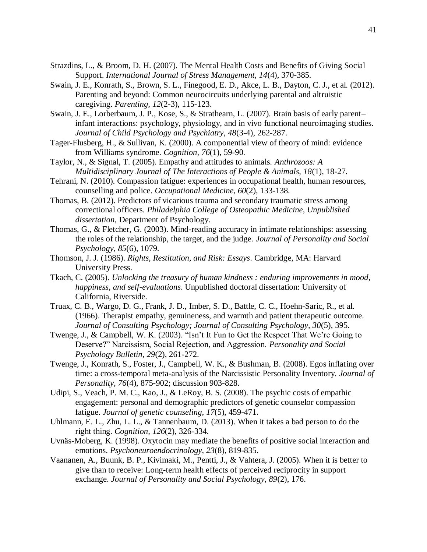- <span id="page-41-6"></span>Strazdins, L., & Broom, D. H. (2007). The Mental Health Costs and Benefits of Giving Social Support. *International Journal of Stress Management, 14*(4), 370-385.
- <span id="page-41-14"></span>Swain, J. E., Konrath, S., Brown, S. L., Finegood, E. D., Akce, L. B., Dayton, C. J., et al. (2012). Parenting and beyond: Common neurocircuits underlying parental and altruistic caregiving. *Parenting, 12*(2-3), 115-123.
- <span id="page-41-16"></span>Swain, J. E., Lorberbaum, J. P., Kose, S., & Strathearn, L. (2007). Brain basis of early parent– infant interactions: psychology, physiology, and in vivo functional neuroimaging studies. *Journal of Child Psychology and Psychiatry, 48*(3-4), 262-287.
- <span id="page-41-7"></span>Tager-Flusberg, H., & Sullivan, K. (2000). A componential view of theory of mind: evidence from Williams syndrome. *Cognition, 76*(1), 59-90.
- <span id="page-41-13"></span>Taylor, N., & Signal, T. (2005). Empathy and attitudes to animals. *Anthrozoos: A Multidisciplinary Journal of The Interactions of People & Animals, 18*(1), 18-27.
- <span id="page-41-8"></span>Tehrani, N. (2010). Compassion fatigue: experiences in occupational health, human resources, counselling and police. *Occupational Medicine, 60*(2), 133-138.
- <span id="page-41-9"></span>Thomas, B. (2012). Predictors of vicarious trauma and secondary traumatic stress among correctional officers. *Philadelphia College of Osteopathic Medicine, Unpublished dissertation*, Department of Psychology.
- <span id="page-41-0"></span>Thomas, G., & Fletcher, G. (2003). Mind-reading accuracy in intimate relationships: assessing the roles of the relationship, the target, and the judge. *Journal of Personality and Social Psychology, 85*(6), 1079.
- <span id="page-41-11"></span>Thomson, J. J. (1986). *Rights, Restitution, and Risk: Essays*. Cambridge, MA: Harvard University Press.
- <span id="page-41-5"></span>Tkach, C. (2005). *Unlocking the treasury of human kindness : enduring improvements in mood, happiness, and self-evaluations*. Unpublished doctoral dissertation: University of California, Riverside.
- <span id="page-41-1"></span>Truax, C. B., Wargo, D. G., Frank, J. D., Imber, S. D., Battle, C. C., Hoehn-Saric, R., et al. (1966). Therapist empathy, genuineness, and warmth and patient therapeutic outcome. *Journal of Consulting Psychology; Journal of Consulting Psychology, 30*(5), 395.
- <span id="page-41-2"></span>Twenge, J., & Campbell, W. K. (2003). "Isn't It Fun to Get the Respect That We're Going to Deserve?" Narcissism, Social Rejection, and Aggression. *Personality and Social Psychology Bulletin, 29*(2), 261-272.
- <span id="page-41-3"></span>Twenge, J., Konrath, S., Foster, J., Campbell, W. K., & Bushman, B. (2008). Egos inflating over time: a cross-temporal meta-analysis of the Narcissistic Personality Inventory. *Journal of Personality, 76*(4), 875-902; discussion 903-828.
- <span id="page-41-10"></span>Udipi, S., Veach, P. M. C., Kao, J., & LeRoy, B. S. (2008). The psychic costs of empathic engagement: personal and demographic predictors of genetic counselor compassion fatigue. *Journal of genetic counseling, 17*(5), 459-471.
- <span id="page-41-12"></span>Uhlmann, E. L., Zhu, L. L., & Tannenbaum, D. (2013). When it takes a bad person to do the right thing. *Cognition, 126*(2), 326-334.
- <span id="page-41-15"></span>Uvnäs-Moberg, K. (1998). Oxytocin may mediate the benefits of positive social interaction and emotions. *Psychoneuroendocrinology, 23*(8), 819-835.
- <span id="page-41-4"></span>Vaananen, A., Buunk, B. P., Kivimaki, M., Pentti, J., & Vahtera, J. (2005). When it is better to give than to receive: Long-term health effects of perceived reciprocity in support exchange. *Journal of Personality and Social Psychology, 89*(2), 176.